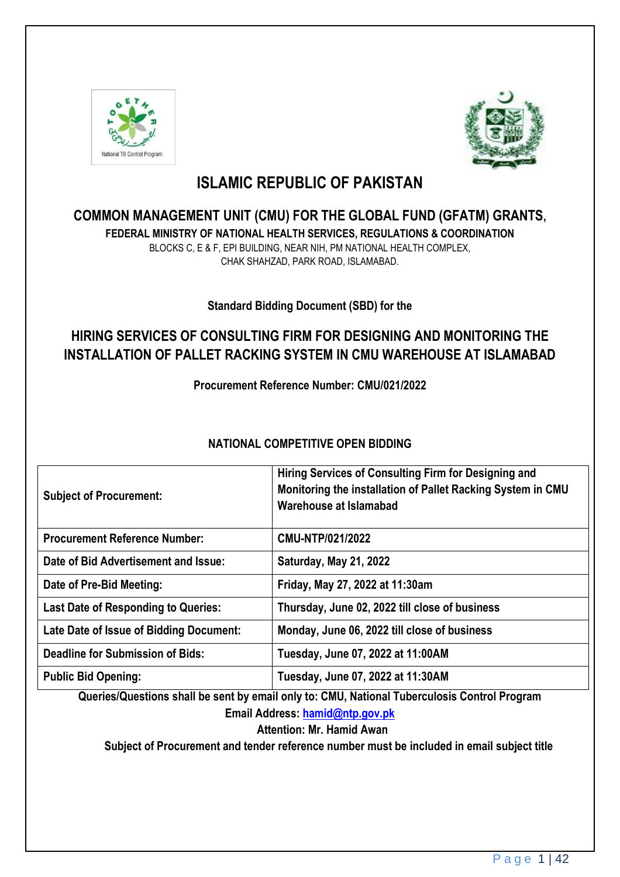



# **ISLAMIC REPUBLIC OF PAKISTAN**

## **COMMON MANAGEMENT UNIT (CMU) FOR THE GLOBAL FUND (GFATM) GRANTS,**

**FEDERAL MINISTRY OF NATIONAL HEALTH SERVICES, REGULATIONS & COORDINATION** BLOCKS C, E & F, EPI BUILDING, NEAR NIH, PM NATIONAL HEALTH COMPLEX, CHAK SHAHZAD, PARK ROAD, ISLAMABAD.

**Standard Bidding Document (SBD) for the**

## **HIRING SERVICES OF CONSULTING FIRM FOR DESIGNING AND MONITORING THE INSTALLATION OF PALLET RACKING SYSTEM IN CMU WAREHOUSE AT ISLAMABAD**

**Procurement Reference Number: CMU/021/2022**

## **NATIONAL COMPETITIVE OPEN BIDDING**

| <b>Subject of Procurement:</b>             | Hiring Services of Consulting Firm for Designing and<br>Monitoring the installation of Pallet Racking System in CMU<br>Warehouse at Islamabad |
|--------------------------------------------|-----------------------------------------------------------------------------------------------------------------------------------------------|
| <b>Procurement Reference Number:</b>       | CMU-NTP/021/2022                                                                                                                              |
| Date of Bid Advertisement and Issue:       | Saturday, May 21, 2022                                                                                                                        |
| Date of Pre-Bid Meeting:                   | Friday, May 27, 2022 at 11:30am                                                                                                               |
| <b>Last Date of Responding to Queries:</b> | Thursday, June 02, 2022 till close of business                                                                                                |
| Late Date of Issue of Bidding Document:    | Monday, June 06, 2022 till close of business                                                                                                  |
| <b>Deadline for Submission of Bids:</b>    | Tuesday, June 07, 2022 at 11:00AM                                                                                                             |
| <b>Public Bid Opening:</b>                 | Tuesday, June 07, 2022 at 11:30AM                                                                                                             |

**Queries/Questions shall be sent by email only to: CMU, National Tuberculosis Control Program Email Address: [hamid@ntp.gov.pk](mailto:hamid@ntp.gov.pk)**

**Attention: Mr. Hamid Awan**

**Subject of Procurement and tender reference number must be included in email subject title**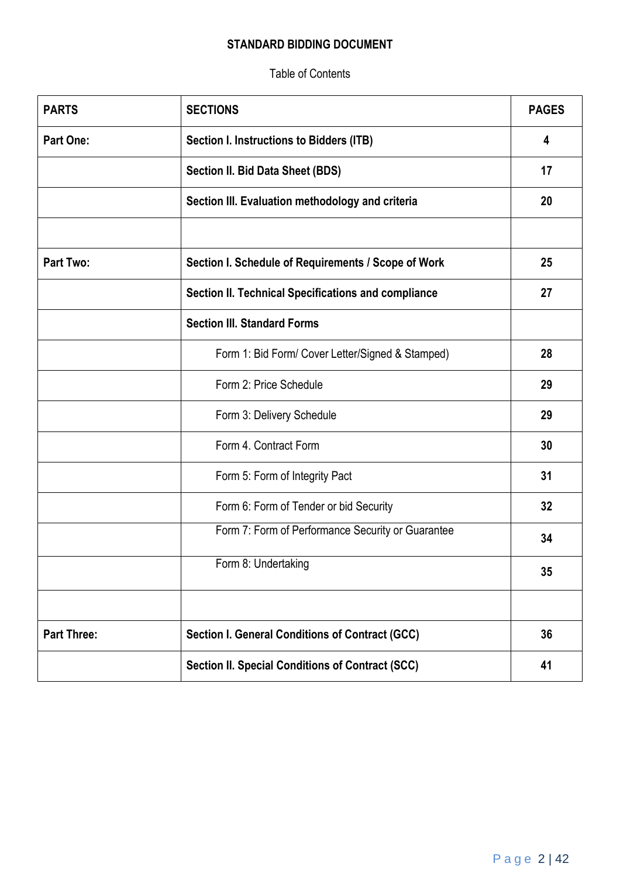### **STANDARD BIDDING DOCUMENT**

Table of Contents

| <b>PARTS</b>       | <b>SECTIONS</b>                                         | <b>PAGES</b> |
|--------------------|---------------------------------------------------------|--------------|
| <b>Part One:</b>   | <b>Section I. Instructions to Bidders (ITB)</b>         | 4            |
|                    | Section II. Bid Data Sheet (BDS)                        | 17           |
|                    | Section III. Evaluation methodology and criteria        | 20           |
|                    |                                                         |              |
| <b>Part Two:</b>   | Section I. Schedule of Requirements / Scope of Work     | 25           |
|                    | Section II. Technical Specifications and compliance     | 27           |
|                    | <b>Section III. Standard Forms</b>                      |              |
|                    | Form 1: Bid Form/ Cover Letter/Signed & Stamped)        | 28           |
|                    | Form 2: Price Schedule                                  | 29           |
|                    | Form 3: Delivery Schedule                               | 29           |
|                    | Form 4. Contract Form                                   | 30           |
|                    | Form 5: Form of Integrity Pact                          | 31           |
|                    | Form 6: Form of Tender or bid Security                  | 32           |
|                    | Form 7: Form of Performance Security or Guarantee       | 34           |
|                    | Form 8: Undertaking                                     | 35           |
|                    |                                                         |              |
| <b>Part Three:</b> | Section I. General Conditions of Contract (GCC)         | 36           |
|                    | <b>Section II. Special Conditions of Contract (SCC)</b> | 41           |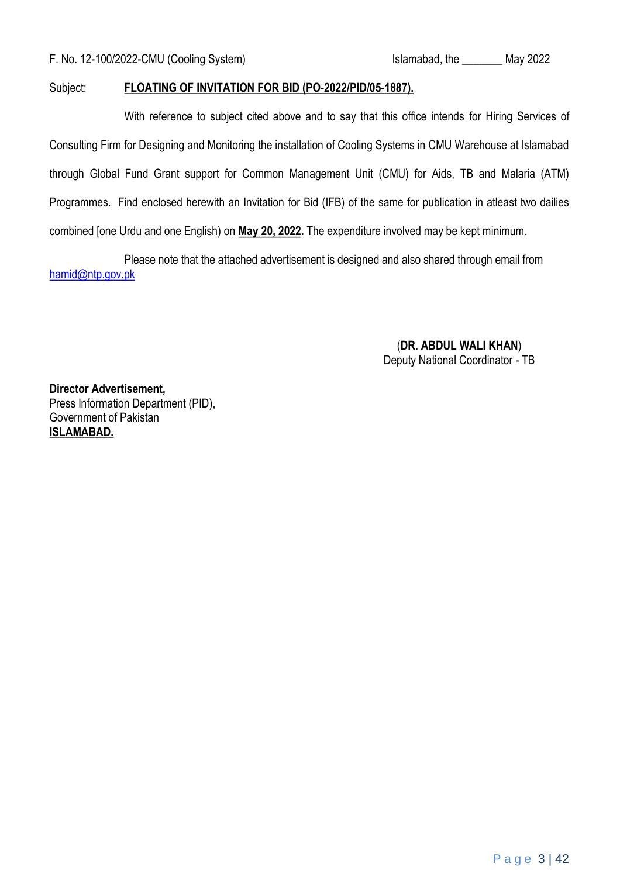#### Subject: **FLOATING OF INVITATION FOR BID (PO-2022/PID/05-1887).**

With reference to subject cited above and to say that this office intends for Hiring Services of Consulting Firm for Designing and Monitoring the installation of Cooling Systems in CMU Warehouse at Islamabad through Global Fund Grant support for Common Management Unit (CMU) for Aids, TB and Malaria (ATM) Programmes. Find enclosed herewith an Invitation for Bid (IFB) of the same for publication in atleast two dailies combined [one Urdu and one English) on **May 20, 2022.** The expenditure involved may be kept minimum.

Please note that the attached advertisement is designed and also shared through email from hamid@ntp.gov.pk

> (**DR. ABDUL WALI KHAN**) Deputy National Coordinator - TB

**Director Advertisement,** Press Information Department (PID), Government of Pakistan **ISLAMABAD.**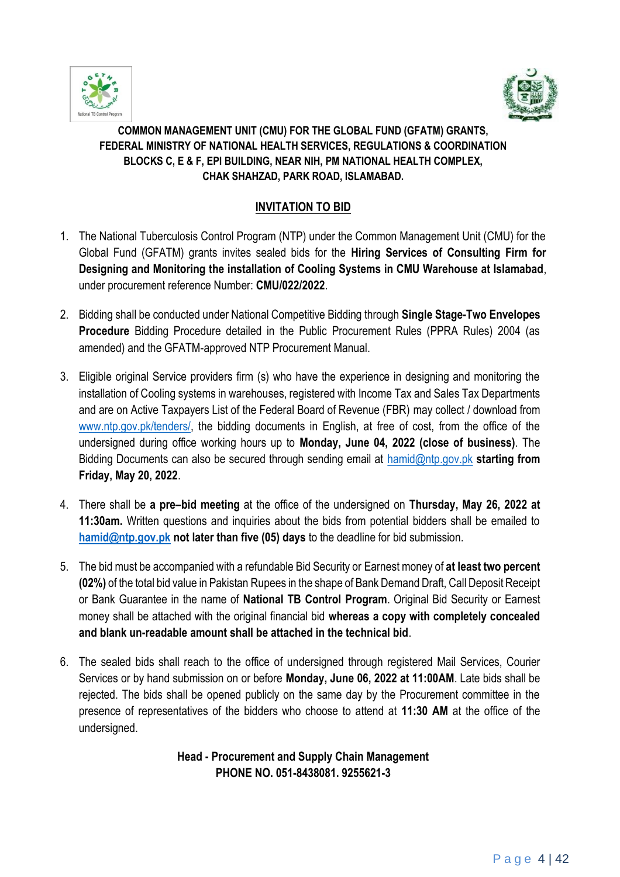



### **COMMON MANAGEMENT UNIT (CMU) FOR THE GLOBAL FUND (GFATM) GRANTS, FEDERAL MINISTRY OF NATIONAL HEALTH SERVICES, REGULATIONS & COORDINATION BLOCKS C, E & F, EPI BUILDING, NEAR NIH, PM NATIONAL HEALTH COMPLEX, CHAK SHAHZAD, PARK ROAD, ISLAMABAD.**

### **INVITATION TO BID**

- 1. The National Tuberculosis Control Program (NTP) under the Common Management Unit (CMU) for the Global Fund (GFATM) grants invites sealed bids for the **Hiring Services of Consulting Firm for Designing and Monitoring the installation of Cooling Systems in CMU Warehouse at Islamabad**, under procurement reference Number: **CMU/022/2022**.
- 2. Bidding shall be conducted under National Competitive Bidding through **Single Stage-Two Envelopes Procedure** Bidding Procedure detailed in the Public Procurement Rules (PPRA Rules) 2004 (as amended) and the GFATM-approved NTP Procurement Manual.
- 3. Eligible original Service providers firm (s) who have the experience in designing and monitoring the installation of Cooling systems in warehouses, registered with Income Tax and Sales Tax Departments and are on Active Taxpayers List of the Federal Board of Revenue (FBR) may collect / download from www.ntp.gov.pk/tenders/, the bidding documents in English, at free of cost, from the office of the undersigned during office working hours up to **Monday, June 04, 2022 (close of business)**. The Bidding Documents can also be secured through sending email at hamid@ntp.gov.pk **starting from Friday, May 20, 2022**.
- 4. There shall be **a pre–bid meeting** at the office of the undersigned on **Thursday, May 26, 2022 at 11:30am.** Written questions and inquiries about the bids from potential bidders shall be emailed to **hamid@ntp.gov.pk not later than five (05) days** to the deadline for bid submission.
- 5. The bid must be accompanied with a refundable Bid Security or Earnest money of **at least two percent (02%)** of the total bid value in Pakistan Rupees in the shape of Bank Demand Draft, Call Deposit Receipt or Bank Guarantee in the name of **National TB Control Program**. Original Bid Security or Earnest money shall be attached with the original financial bid **whereas a copy with completely concealed and blank un-readable amount shall be attached in the technical bid**.
- 6. The sealed bids shall reach to the office of undersigned through registered Mail Services, Courier Services or by hand submission on or before **Monday, June 06, 2022 at 11:00AM**. Late bids shall be rejected. The bids shall be opened publicly on the same day by the Procurement committee in the presence of representatives of the bidders who choose to attend at **11:30 AM** at the office of the undersigned.

#### **Head - Procurement and Supply Chain Management PHONE NO. 051-8438081. 9255621-3**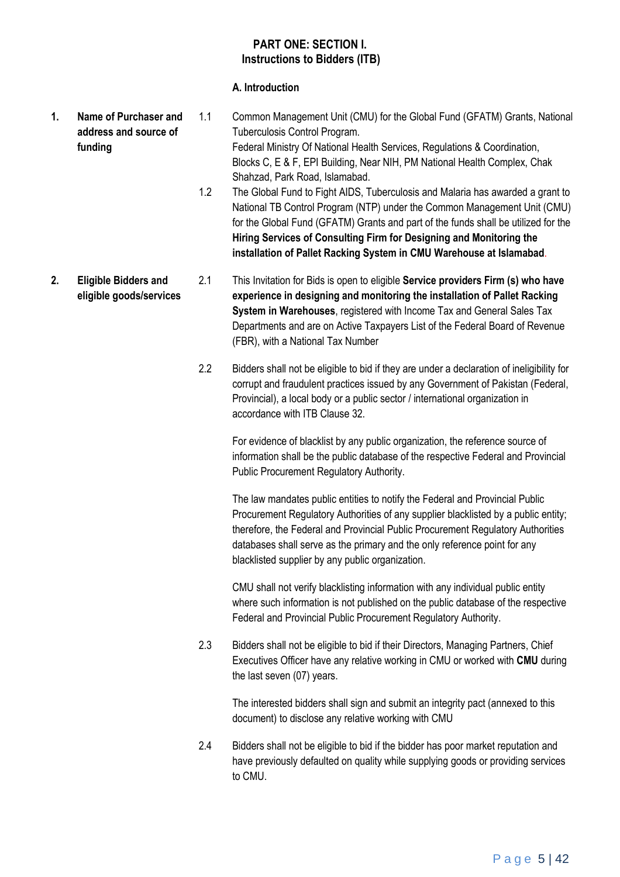#### **PART ONE: SECTION I. Instructions to Bidders (ITB)**

#### **A. Introduction**

- **1. Name of Purchaser and address and source of funding**  1.1 Common Management Unit (CMU) for the Global Fund (GFATM) Grants, National Tuberculosis Control Program. Federal Ministry Of National Health Services, Regulations & Coordination, Blocks C, E & F, EPI Building, Near NIH, PM National Health Complex, Chak Shahzad, Park Road, Islamabad.
	- 1.2 The Global Fund to Fight AIDS, Tuberculosis and Malaria has awarded a grant to National TB Control Program (NTP) under the Common Management Unit (CMU) for the Global Fund (GFATM) Grants and part of the funds shall be utilized for the **Hiring Services of Consulting Firm for Designing and Monitoring the installation of Pallet Racking System in CMU Warehouse at Islamabad**.
- **2. Eligible Bidders and eligible goods/services** 2.1 This Invitation for Bids is open to eligible **Service providers Firm (s) who have experience in designing and monitoring the installation of Pallet Racking System in Warehouses**, registered with Income Tax and General Sales Tax Departments and are on Active Taxpayers List of the Federal Board of Revenue (FBR), with a National Tax Number
	- 2.2 Bidders shall not be eligible to bid if they are under a declaration of ineligibility for corrupt and fraudulent practices issued by any Government of Pakistan (Federal, Provincial), a local body or a public sector / international organization in accordance with ITB Clause 32.

For evidence of blacklist by any public organization, the reference source of information shall be the public database of the respective Federal and Provincial Public Procurement Regulatory Authority.

The law mandates public entities to notify the Federal and Provincial Public Procurement Regulatory Authorities of any supplier blacklisted by a public entity; therefore, the Federal and Provincial Public Procurement Regulatory Authorities databases shall serve as the primary and the only reference point for any blacklisted supplier by any public organization.

CMU shall not verify blacklisting information with any individual public entity where such information is not published on the public database of the respective Federal and Provincial Public Procurement Regulatory Authority.

2.3 Bidders shall not be eligible to bid if their Directors, Managing Partners, Chief Executives Officer have any relative working in CMU or worked with **CMU** during the last seven (07) years.

The interested bidders shall sign and submit an integrity pact (annexed to this document) to disclose any relative working with CMU

2.4 Bidders shall not be eligible to bid if the bidder has poor market reputation and have previously defaulted on quality while supplying goods or providing services to CMU.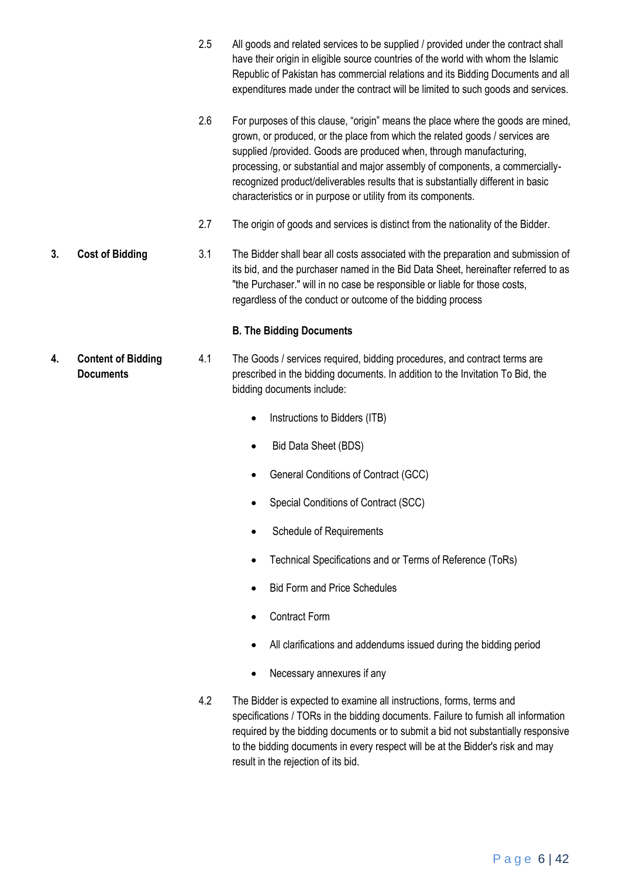- 2.5 All goods and related services to be supplied / provided under the contract shall have their origin in eligible source countries of the world with whom the Islamic Republic of Pakistan has commercial relations and its Bidding Documents and all expenditures made under the contract will be limited to such goods and services.
- 2.6 For purposes of this clause, "origin" means the place where the goods are mined, grown, or produced, or the place from which the related goods / services are supplied /provided. Goods are produced when, through manufacturing, processing, or substantial and major assembly of components, a commerciallyrecognized product/deliverables results that is substantially different in basic characteristics or in purpose or utility from its components.
- 2.7 The origin of goods and services is distinct from the nationality of the Bidder.
- **3. Cost of Bidding** 3.1 The Bidder shall bear all costs associated with the preparation and submission of its bid, and the purchaser named in the Bid Data Sheet, hereinafter referred to as "the Purchaser." will in no case be responsible or liable for those costs, regardless of the conduct or outcome of the bidding process

#### **B. The Bidding Documents**

- **4. Content of Bidding Documents** 4.1 The Goods / services required, bidding procedures, and contract terms are prescribed in the bidding documents. In addition to the Invitation To Bid, the bidding documents include:
	- Instructions to Bidders (ITB)
	- Bid Data Sheet (BDS)
	- General Conditions of Contract (GCC)
	- Special Conditions of Contract (SCC)
	- Schedule of Requirements
	- Technical Specifications and or Terms of Reference (ToRs)
	- Bid Form and Price Schedules
	- Contract Form
	- All clarifications and addendums issued during the bidding period
	- Necessary annexures if any
	- 4.2 The Bidder is expected to examine all instructions, forms, terms and specifications / TORs in the bidding documents. Failure to furnish all information required by the bidding documents or to submit a bid not substantially responsive to the bidding documents in every respect will be at the Bidder's risk and may result in the rejection of its bid.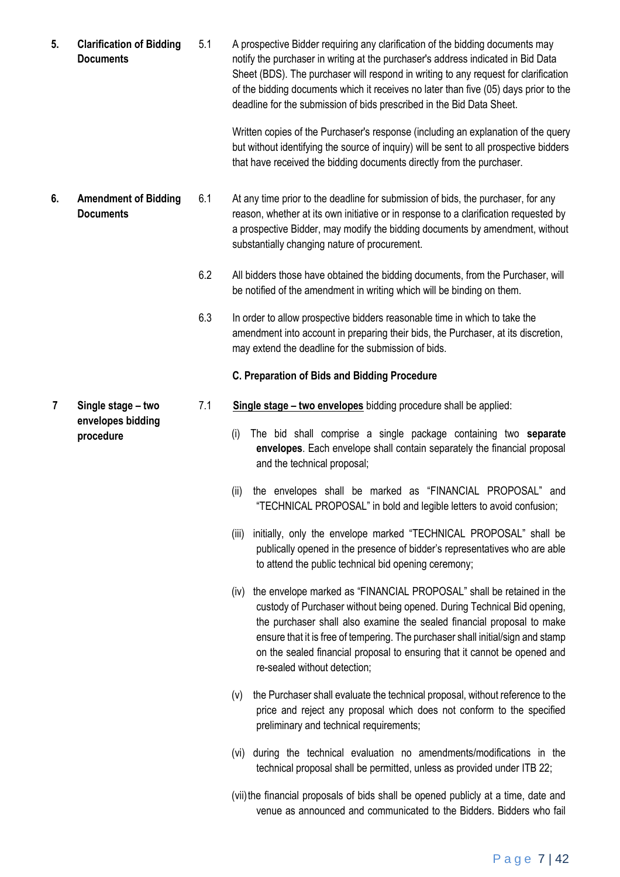**5. Clarification of Bidding Documents** 5.1 A prospective Bidder requiring any clarification of the bidding documents may notify the purchaser in writing at the purchaser's address indicated in Bid Data Sheet (BDS). The purchaser will respond in writing to any request for clarification of the bidding documents which it receives no later than five (05) days prior to the deadline for the submission of bids prescribed in the Bid Data Sheet.

> Written copies of the Purchaser's response (including an explanation of the query but without identifying the source of inquiry) will be sent to all prospective bidders that have received the bidding documents directly from the purchaser.

- **6. Amendment of Bidding Documents** 6.1 At any time prior to the deadline for submission of bids, the purchaser, for any reason, whether at its own initiative or in response to a clarification requested by a prospective Bidder, may modify the bidding documents by amendment, without substantially changing nature of procurement.
	- 6.2 All bidders those have obtained the bidding documents, from the Purchaser, will be notified of the amendment in writing which will be binding on them.
	- 6.3 In order to allow prospective bidders reasonable time in which to take the amendment into account in preparing their bids, the Purchaser, at its discretion, may extend the deadline for the submission of bids.

#### **C. Preparation of Bids and Bidding Procedure**

- 7.1 **Single stage – two envelopes** bidding procedure shall be applied:
	- (i) The bid shall comprise a single package containing two **separate envelopes**. Each envelope shall contain separately the financial proposal and the technical proposal;
	- (ii) the envelopes shall be marked as "FINANCIAL PROPOSAL" and "TECHNICAL PROPOSAL" in bold and legible letters to avoid confusion;
	- (iii) initially, only the envelope marked "TECHNICAL PROPOSAL" shall be publically opened in the presence of bidder's representatives who are able to attend the public technical bid opening ceremony;
	- (iv) the envelope marked as "FINANCIAL PROPOSAL" shall be retained in the custody of Purchaser without being opened. During Technical Bid opening, the purchaser shall also examine the sealed financial proposal to make ensure that it is free of tempering. The purchaser shall initial/sign and stamp on the sealed financial proposal to ensuring that it cannot be opened and re-sealed without detection;
	- (v) the Purchaser shall evaluate the technical proposal, without reference to the price and reject any proposal which does not conform to the specified preliminary and technical requirements;
	- (vi) during the technical evaluation no amendments/modifications in the technical proposal shall be permitted, unless as provided under ITB 22;
	- (vii)the financial proposals of bids shall be opened publicly at a time, date and venue as announced and communicated to the Bidders. Bidders who fail

**7 Single stage – two envelopes bidding procedure**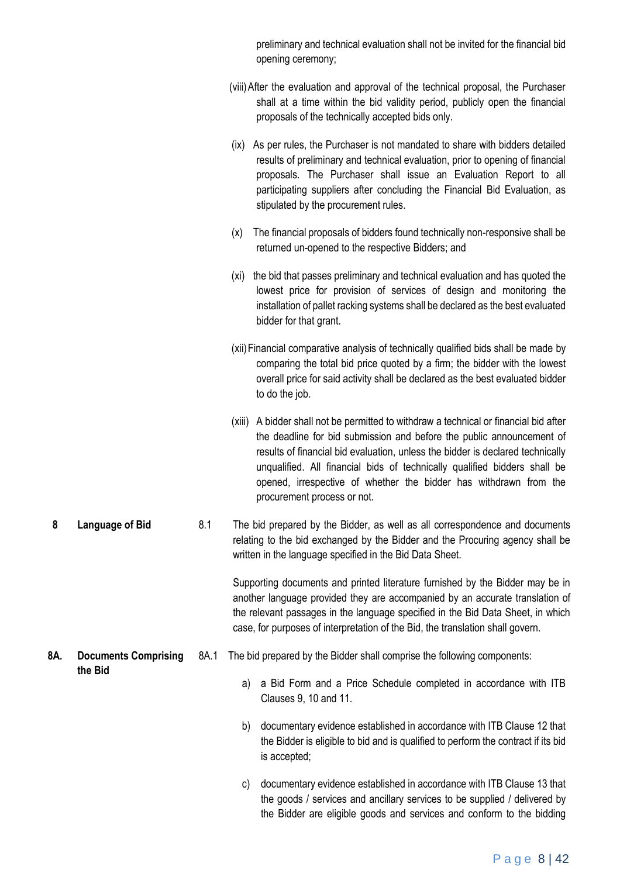|     |                             |      | preliminary and technical evaluation shall not be invited for the financial bid<br>opening ceremony;                                                                                                                                                                                                                                                                                                                              |
|-----|-----------------------------|------|-----------------------------------------------------------------------------------------------------------------------------------------------------------------------------------------------------------------------------------------------------------------------------------------------------------------------------------------------------------------------------------------------------------------------------------|
|     |                             |      | (viii) After the evaluation and approval of the technical proposal, the Purchaser<br>shall at a time within the bid validity period, publicly open the financial<br>proposals of the technically accepted bids only.                                                                                                                                                                                                              |
|     |                             |      | (ix) As per rules, the Purchaser is not mandated to share with bidders detailed<br>results of preliminary and technical evaluation, prior to opening of financial<br>proposals. The Purchaser shall issue an Evaluation Report to all<br>participating suppliers after concluding the Financial Bid Evaluation, as<br>stipulated by the procurement rules.                                                                        |
|     |                             |      | The financial proposals of bidders found technically non-responsive shall be<br>(x)<br>returned un-opened to the respective Bidders; and                                                                                                                                                                                                                                                                                          |
|     |                             |      | (xi) the bid that passes preliminary and technical evaluation and has quoted the<br>lowest price for provision of services of design and monitoring the<br>installation of pallet racking systems shall be declared as the best evaluated<br>bidder for that grant.                                                                                                                                                               |
|     |                             |      | (xii) Financial comparative analysis of technically qualified bids shall be made by<br>comparing the total bid price quoted by a firm; the bidder with the lowest<br>overall price for said activity shall be declared as the best evaluated bidder<br>to do the job.                                                                                                                                                             |
|     |                             |      | (xiii) A bidder shall not be permitted to withdraw a technical or financial bid after<br>the deadline for bid submission and before the public announcement of<br>results of financial bid evaluation, unless the bidder is declared technically<br>unqualified. All financial bids of technically qualified bidders shall be<br>opened, irrespective of whether the bidder has withdrawn from the<br>procurement process or not. |
| 8   | Language of Bid             | 8.1  | The bid prepared by the Bidder, as well as all correspondence and documents<br>relating to the bid exchanged by the Bidder and the Procuring agency shall be<br>written in the language specified in the Bid Data Sheet.                                                                                                                                                                                                          |
|     |                             |      | Supporting documents and printed literature furnished by the Bidder may be in<br>another language provided they are accompanied by an accurate translation of<br>the relevant passages in the language specified in the Bid Data Sheet, in which<br>case, for purposes of interpretation of the Bid, the translation shall govern.                                                                                                |
| 8A. | <b>Documents Comprising</b> | 8A.1 | The bid prepared by the Bidder shall comprise the following components:                                                                                                                                                                                                                                                                                                                                                           |
|     | the Bid                     |      | a Bid Form and a Price Schedule completed in accordance with ITB<br>a)<br>Clauses 9, 10 and 11.                                                                                                                                                                                                                                                                                                                                   |
|     |                             |      | b)<br>documentary evidence established in accordance with ITB Clause 12 that<br>the Bidder is eligible to bid and is qualified to perform the contract if its bid<br>is accepted;                                                                                                                                                                                                                                                 |
|     |                             |      | documentary evidence established in accordance with ITB Clause 13 that<br>c)<br>the goods / services and ancillary services to be supplied / delivered by<br>the Bidder are eligible goods and services and conform to the bidding                                                                                                                                                                                                |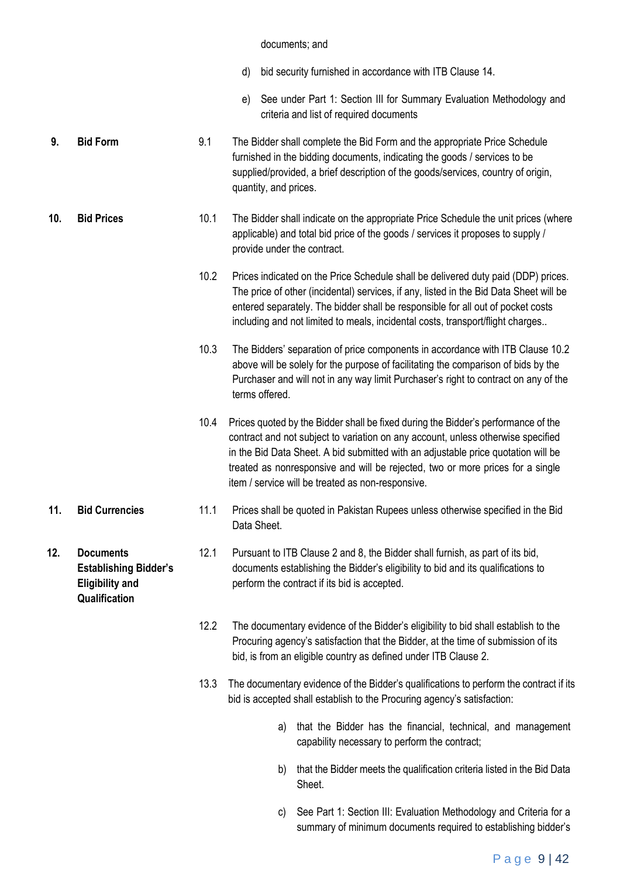#### documents; and

- d) bid security furnished in accordance with ITB Clause 14.
- e) See under Part 1: Section III for Summary Evaluation Methodology and criteria and list of required documents
- **9. Bid Form** 9.1 The Bidder shall complete the Bid Form and the appropriate Price Schedule furnished in the bidding documents, indicating the goods / services to be supplied/provided, a brief description of the goods/services, country of origin, quantity, and prices.
- **10. Bid Prices** 10.1 The Bidder shall indicate on the appropriate Price Schedule the unit prices (where applicable) and total bid price of the goods / services it proposes to supply / provide under the contract.
	- 10.2 Prices indicated on the Price Schedule shall be delivered duty paid (DDP) prices. The price of other (incidental) services, if any, listed in the Bid Data Sheet will be entered separately. The bidder shall be responsible for all out of pocket costs including and not limited to meals, incidental costs, transport/flight charges..
	- 10.3 The Bidders' separation of price components in accordance with ITB Clause 10.2 above will be solely for the purpose of facilitating the comparison of bids by the Purchaser and will not in any way limit Purchaser's right to contract on any of the terms offered.
	- 10.4 Prices quoted by the Bidder shall be fixed during the Bidder's performance of the contract and not subject to variation on any account, unless otherwise specified in the Bid Data Sheet. A bid submitted with an adjustable price quotation will be treated as nonresponsive and will be rejected, two or more prices for a single item / service will be treated as non-responsive.
- **11. Bid Currencies** 11.1 Prices shall be quoted in Pakistan Rupees unless otherwise specified in the Bid Data Sheet.
	- 12.1 Pursuant to ITB Clause 2 and 8, the Bidder shall furnish, as part of its bid, documents establishing the Bidder's eligibility to bid and its qualifications to perform the contract if its bid is accepted.
		- 12.2 The documentary evidence of the Bidder's eligibility to bid shall establish to the Procuring agency's satisfaction that the Bidder, at the time of submission of its bid, is from an eligible country as defined under ITB Clause 2.
		- 13.3 The documentary evidence of the Bidder's qualifications to perform the contract if its bid is accepted shall establish to the Procuring agency's satisfaction:
			- a) that the Bidder has the financial, technical, and management capability necessary to perform the contract;
			- b) that the Bidder meets the qualification criteria listed in the Bid Data Sheet.
			- c) See Part 1: Section III: Evaluation Methodology and Criteria for a summary of minimum documents required to establishing bidder's

**12. Documents Establishing Bidder's Eligibility and Qualification**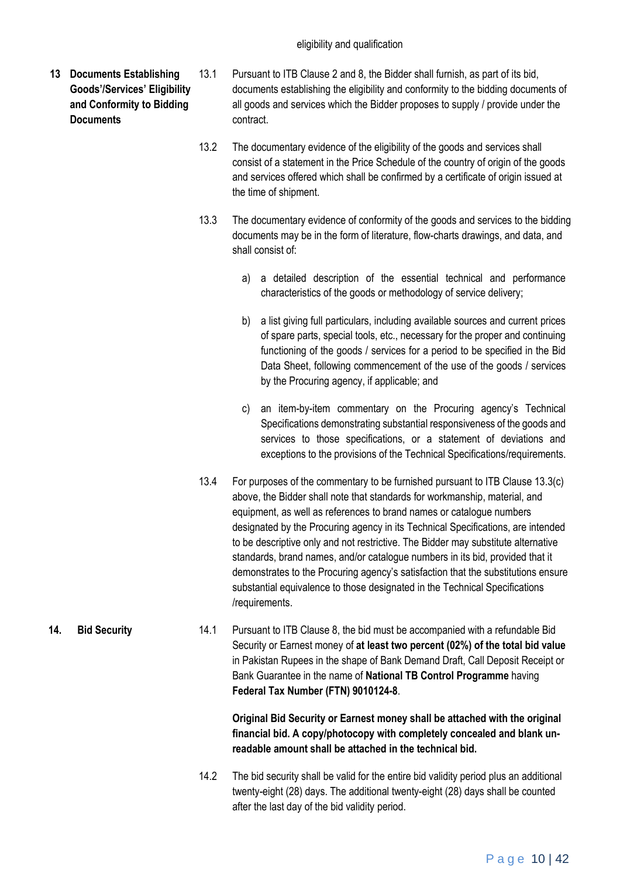- **13 Documents Establishing Goods'/Services' Eligibility and Conformity to Bidding Documents**
- 13.1 Pursuant to ITB Clause 2 and 8, the Bidder shall furnish, as part of its bid, documents establishing the eligibility and conformity to the bidding documents of all goods and services which the Bidder proposes to supply / provide under the contract.
	- 13.2 The documentary evidence of the eligibility of the goods and services shall consist of a statement in the Price Schedule of the country of origin of the goods and services offered which shall be confirmed by a certificate of origin issued at the time of shipment.
	- 13.3 The documentary evidence of conformity of the goods and services to the bidding documents may be in the form of literature, flow-charts drawings, and data, and shall consist of:
		- a) a detailed description of the essential technical and performance characteristics of the goods or methodology of service delivery;
		- b) a list giving full particulars, including available sources and current prices of spare parts, special tools, etc., necessary for the proper and continuing functioning of the goods / services for a period to be specified in the Bid Data Sheet, following commencement of the use of the goods / services by the Procuring agency, if applicable; and
		- c) an item-by-item commentary on the Procuring agency's Technical Specifications demonstrating substantial responsiveness of the goods and services to those specifications, or a statement of deviations and exceptions to the provisions of the Technical Specifications/requirements.
	- 13.4 For purposes of the commentary to be furnished pursuant to ITB Clause 13.3(c) above, the Bidder shall note that standards for workmanship, material, and equipment, as well as references to brand names or catalogue numbers designated by the Procuring agency in its Technical Specifications, are intended to be descriptive only and not restrictive. The Bidder may substitute alternative standards, brand names, and/or catalogue numbers in its bid, provided that it demonstrates to the Procuring agency's satisfaction that the substitutions ensure substantial equivalence to those designated in the Technical Specifications /requirements.
- **14. Bid Security** 14.1 Pursuant to ITB Clause 8, the bid must be accompanied with a refundable Bid Security or Earnest money of **at least two percent (02%) of the total bid value** in Pakistan Rupees in the shape of Bank Demand Draft, Call Deposit Receipt or Bank Guarantee in the name of **National TB Control Programme** having **Federal Tax Number (FTN) 9010124-8**.

**Original Bid Security or Earnest money shall be attached with the original financial bid. A copy/photocopy with completely concealed and blank unreadable amount shall be attached in the technical bid.**

14.2 The bid security shall be valid for the entire bid validity period plus an additional twenty-eight (28) days. The additional twenty-eight (28) days shall be counted after the last day of the bid validity period.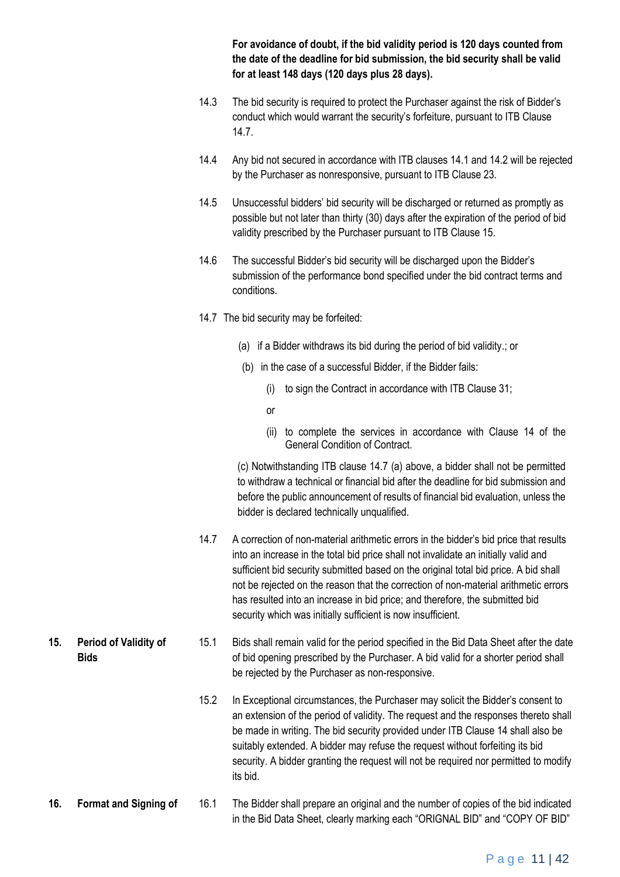**For avoidance of doubt, if the bid validity period is 120 days counted from the date of the deadline for bid submission, the bid security shall be valid for at least 148 days (120 days plus 28 days).** 

- 14.3 The bid security is required to protect the Purchaser against the risk of Bidder's conduct which would warrant the security's forfeiture, pursuant to ITB Clause 14.7.
- 14.4 Any bid not secured in accordance with ITB clauses 14.1 and 14.2 will be rejected by the Purchaser as nonresponsive, pursuant to ITB Clause 23.
- 14.5 Unsuccessful bidders' bid security will be discharged or returned as promptly as possible but not later than thirty (30) days after the expiration of the period of bid validity prescribed by the Purchaser pursuant to ITB Clause 15.
- 14.6 The successful Bidder's bid security will be discharged upon the Bidder's submission of the performance bond specified under the bid contract terms and conditions.
- 14.7 The bid security may be forfeited:
	- (a) if a Bidder withdraws its bid during the period of bid validity.; or
	- (b) in the case of a successful Bidder, if the Bidder fails:
		- (i) to sign the Contract in accordance with ITB Clause 31;
		- or
		- (ii) to complete the services in accordance with Clause 14 of the General Condition of Contract.

(c) Notwithstanding ITB clause 14.7 (a) above, a bidder shall not be permitted to withdraw a technical or financial bid after the deadline for bid submission and before the public announcement of results of financial bid evaluation, unless the bidder is declared technically unqualified.

- 14.7 A correction of non-material arithmetic errors in the bidder's bid price that results into an increase in the total bid price shall not invalidate an initially valid and sufficient bid security submitted based on the original total bid price. A bid shall not be rejected on the reason that the correction of non-material arithmetic errors has resulted into an increase in bid price; and therefore, the submitted bid security which was initially sufficient is now insufficient.
- **15. Period of Validity of Bids** 15.1 Bids shall remain valid for the period specified in the Bid Data Sheet after the date of bid opening prescribed by the Purchaser. A bid valid for a shorter period shall be rejected by the Purchaser as non-responsive.
	- 15.2 In Exceptional circumstances, the Purchaser may solicit the Bidder's consent to an extension of the period of validity. The request and the responses thereto shall be made in writing. The bid security provided under ITB Clause 14 shall also be suitably extended. A bidder may refuse the request without forfeiting its bid security. A bidder granting the request will not be required nor permitted to modify its bid.
- **16. Format and Signing of** 16.1 The Bidder shall prepare an original and the number of copies of the bid indicated in the Bid Data Sheet, clearly marking each "ORIGNAL BID" and "COPY OF BID"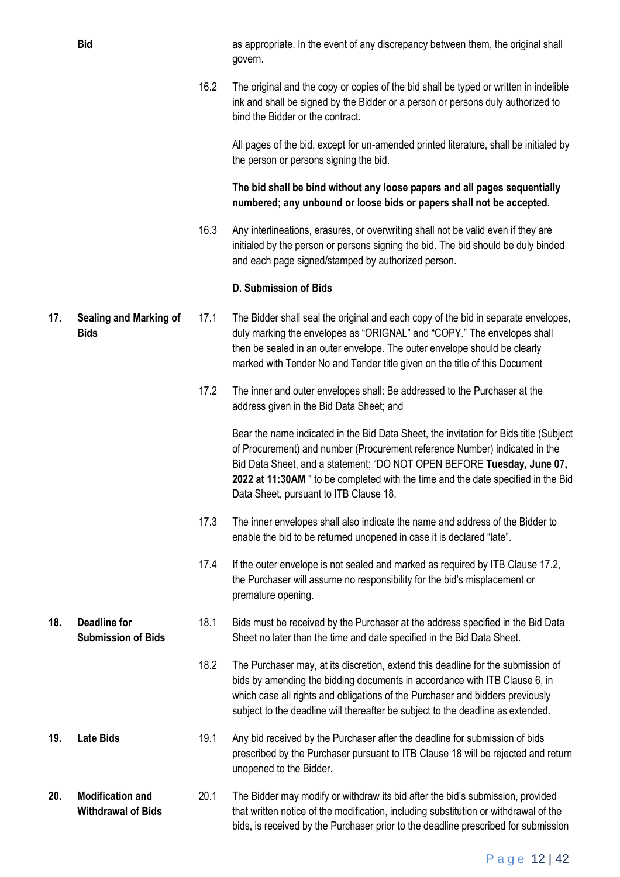**Bid** as appropriate. In the event of any discrepancy between them, the original shall govern.

> 16.2 The original and the copy or copies of the bid shall be typed or written in indelible ink and shall be signed by the Bidder or a person or persons duly authorized to bind the Bidder or the contract.

All pages of the bid, except for un-amended printed literature, shall be initialed by the person or persons signing the bid.

**The bid shall be bind without any loose papers and all pages sequentially numbered; any unbound or loose bids or papers shall not be accepted.** 

16.3 Any interlineations, erasures, or overwriting shall not be valid even if they are initialed by the person or persons signing the bid. The bid should be duly binded and each page signed/stamped by authorized person.

#### **D. Submission of Bids**

- **17. Sealing and Marking of Bids** 17.1 The Bidder shall seal the original and each copy of the bid in separate envelopes, duly marking the envelopes as "ORIGNAL" and "COPY." The envelopes shall then be sealed in an outer envelope. The outer envelope should be clearly marked with Tender No and Tender title given on the title of this Document
	- 17.2 The inner and outer envelopes shall: Be addressed to the Purchaser at the address given in the Bid Data Sheet; and

Bear the name indicated in the Bid Data Sheet, the invitation for Bids title (Subject of Procurement) and number (Procurement reference Number) indicated in the Bid Data Sheet, and a statement: "DO NOT OPEN BEFORE **Tuesday, June 07, 2022 at 11:30AM** " to be completed with the time and the date specified in the Bid Data Sheet, pursuant to ITB Clause 18.

- 17.3 The inner envelopes shall also indicate the name and address of the Bidder to enable the bid to be returned unopened in case it is declared "late".
- 17.4 If the outer envelope is not sealed and marked as required by ITB Clause 17.2, the Purchaser will assume no responsibility for the bid's misplacement or premature opening.
- **Submission of Bids** 18.1 Bids must be received by the Purchaser at the address specified in the Bid Data Sheet no later than the time and date specified in the Bid Data Sheet.
	- 18.2 The Purchaser may, at its discretion, extend this deadline for the submission of bids by amending the bidding documents in accordance with ITB Clause 6, in which case all rights and obligations of the Purchaser and bidders previously subject to the deadline will thereafter be subject to the deadline as extended.
- **19. Late Bids** 19.1 Any bid received by the Purchaser after the deadline for submission of bids prescribed by the Purchaser pursuant to ITB Clause 18 will be rejected and return unopened to the Bidder.

**20. Modification and Withdrawal of Bids** 20.1 The Bidder may modify or withdraw its bid after the bid's submission, provided that written notice of the modification, including substitution or withdrawal of the bids, is received by the Purchaser prior to the deadline prescribed for submission

**18. Deadline for**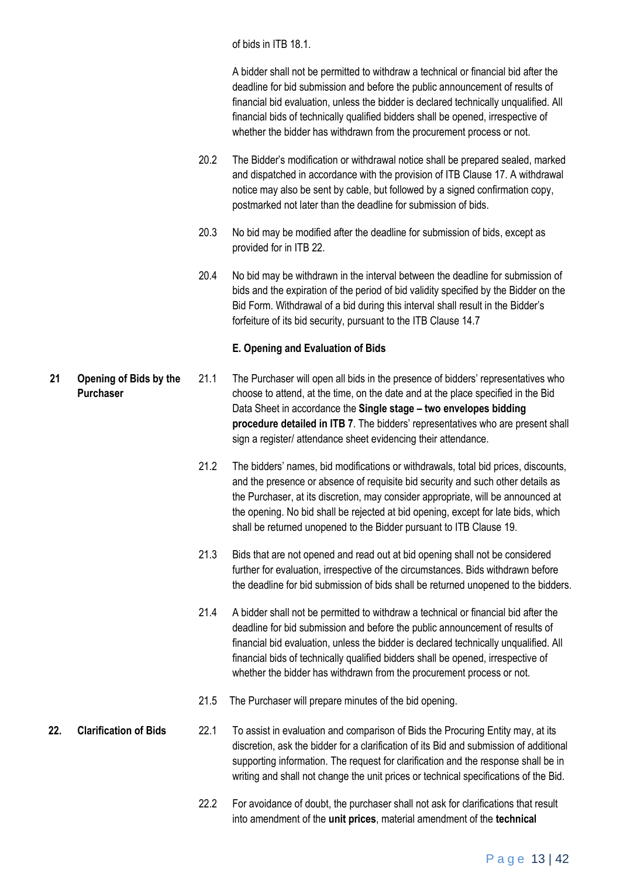of bids in ITB 18.1.

A bidder shall not be permitted to withdraw a technical or financial bid after the deadline for bid submission and before the public announcement of results of financial bid evaluation, unless the bidder is declared technically unqualified. All financial bids of technically qualified bidders shall be opened, irrespective of whether the bidder has withdrawn from the procurement process or not.

- 20.2 The Bidder's modification or withdrawal notice shall be prepared sealed, marked and dispatched in accordance with the provision of ITB Clause 17. A withdrawal notice may also be sent by cable, but followed by a signed confirmation copy, postmarked not later than the deadline for submission of bids.
- 20.3 No bid may be modified after the deadline for submission of bids, except as provided for in ITB 22.
- 20.4 No bid may be withdrawn in the interval between the deadline for submission of bids and the expiration of the period of bid validity specified by the Bidder on the Bid Form. Withdrawal of a bid during this interval shall result in the Bidder's forfeiture of its bid security, pursuant to the ITB Clause 14.7

#### **E. Opening and Evaluation of Bids**

- **21 Opening of Bids by the Purchaser** 21.1 The Purchaser will open all bids in the presence of bidders' representatives who choose to attend, at the time, on the date and at the place specified in the Bid Data Sheet in accordance the **Single stage – two envelopes bidding procedure detailed in ITB 7**. The bidders' representatives who are present shall sign a register/ attendance sheet evidencing their attendance.
	- 21.2 The bidders' names, bid modifications or withdrawals, total bid prices, discounts, and the presence or absence of requisite bid security and such other details as the Purchaser, at its discretion, may consider appropriate, will be announced at the opening. No bid shall be rejected at bid opening, except for late bids, which shall be returned unopened to the Bidder pursuant to ITB Clause 19.
	- 21.3 Bids that are not opened and read out at bid opening shall not be considered further for evaluation, irrespective of the circumstances. Bids withdrawn before the deadline for bid submission of bids shall be returned unopened to the bidders.
	- 21.4 A bidder shall not be permitted to withdraw a technical or financial bid after the deadline for bid submission and before the public announcement of results of financial bid evaluation, unless the bidder is declared technically unqualified. All financial bids of technically qualified bidders shall be opened, irrespective of whether the bidder has withdrawn from the procurement process or not.
	- 21.5 The Purchaser will prepare minutes of the bid opening.
- **22. Clarification of Bids** 22.1 To assist in evaluation and comparison of Bids the Procuring Entity may, at its discretion, ask the bidder for a clarification of its Bid and submission of additional supporting information. The request for clarification and the response shall be in writing and shall not change the unit prices or technical specifications of the Bid.
	- 22.2 For avoidance of doubt, the purchaser shall not ask for clarifications that result into amendment of the **unit prices**, material amendment of the **technical**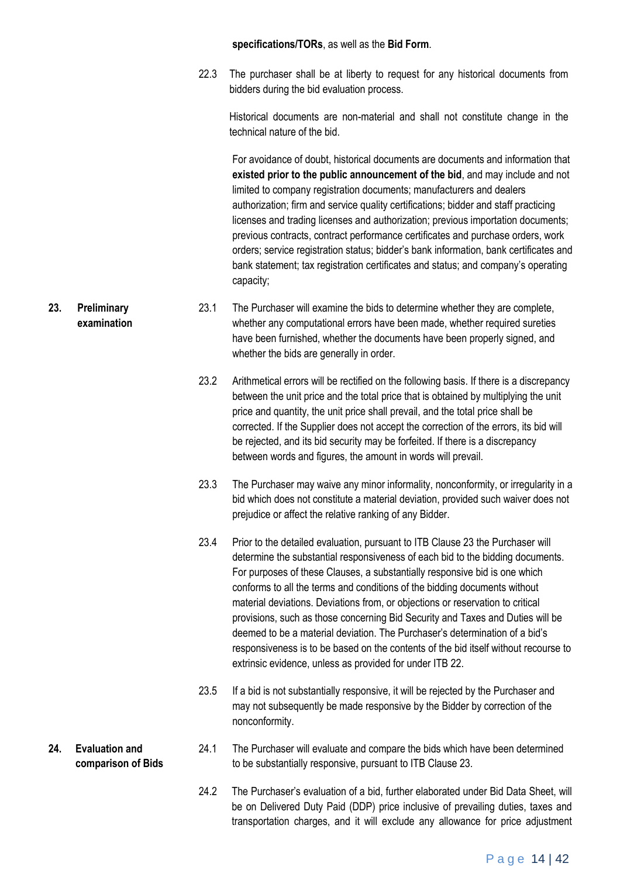#### **specifications/TORs**, as well as the **Bid Form**.

22.3 The purchaser shall be at liberty to request for any historical documents from bidders during the bid evaluation process.

Historical documents are non-material and shall not constitute change in the technical nature of the bid.

For avoidance of doubt, historical documents are documents and information that **existed prior to the public announcement of the bid**, and may include and not limited to company registration documents; manufacturers and dealers authorization; firm and service quality certifications; bidder and staff practicing licenses and trading licenses and authorization; previous importation documents; previous contracts, contract performance certificates and purchase orders, work orders; service registration status; bidder's bank information, bank certificates and bank statement; tax registration certificates and status; and company's operating capacity;

- 23.1 The Purchaser will examine the bids to determine whether they are complete, whether any computational errors have been made, whether required sureties have been furnished, whether the documents have been properly signed, and whether the bids are generally in order.
	- 23.2 Arithmetical errors will be rectified on the following basis. If there is a discrepancy between the unit price and the total price that is obtained by multiplying the unit price and quantity, the unit price shall prevail, and the total price shall be corrected. If the Supplier does not accept the correction of the errors, its bid will be rejected, and its bid security may be forfeited. If there is a discrepancy between words and figures, the amount in words will prevail.
	- 23.3 The Purchaser may waive any minor informality, nonconformity, or irregularity in a bid which does not constitute a material deviation, provided such waiver does not prejudice or affect the relative ranking of any Bidder.
	- 23.4 Prior to the detailed evaluation, pursuant to ITB Clause 23 the Purchaser will determine the substantial responsiveness of each bid to the bidding documents. For purposes of these Clauses, a substantially responsive bid is one which conforms to all the terms and conditions of the bidding documents without material deviations. Deviations from, or objections or reservation to critical provisions, such as those concerning Bid Security and Taxes and Duties will be deemed to be a material deviation. The Purchaser's determination of a bid's responsiveness is to be based on the contents of the bid itself without recourse to extrinsic evidence, unless as provided for under ITB 22.
	- 23.5 If a bid is not substantially responsive, it will be rejected by the Purchaser and may not subsequently be made responsive by the Bidder by correction of the nonconformity.
- 24.1 The Purchaser will evaluate and compare the bids which have been determined to be substantially responsive, pursuant to ITB Clause 23.
	- 24.2 The Purchaser's evaluation of a bid, further elaborated under Bid Data Sheet, will be on Delivered Duty Paid (DDP) price inclusive of prevailing duties, taxes and transportation charges, and it will exclude any allowance for price adjustment

**23. Preliminary examination**

**24. Evaluation and comparison of Bids**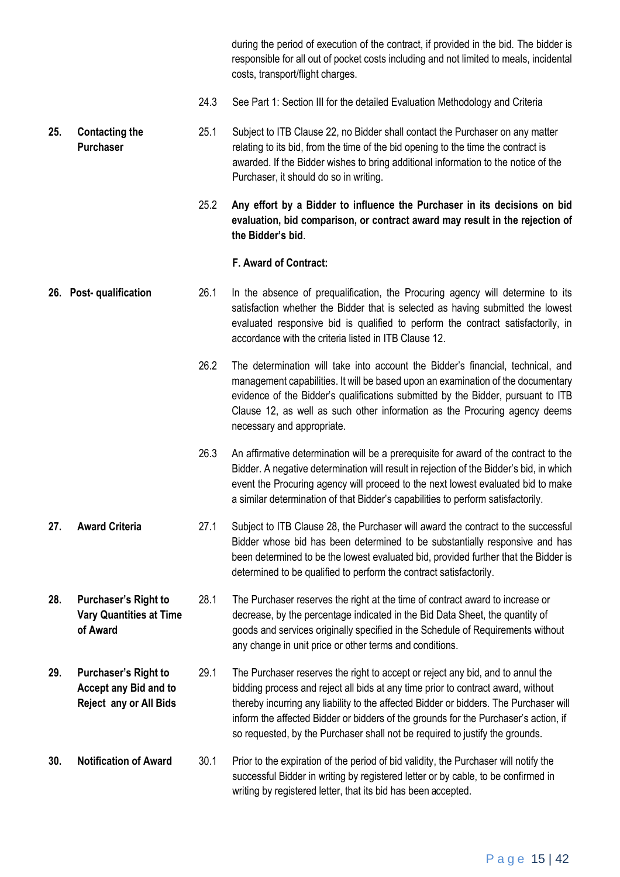during the period of execution of the contract, if provided in the bid. The bidder is responsible for all out of pocket costs including and not limited to meals, incidental costs, transport/flight charges.

24.3 See Part 1: Section III for the detailed Evaluation Methodology and Criteria

**25. Contacting the Purchaser** 25.1 Subject to ITB Clause 22, no Bidder shall contact the Purchaser on any matter relating to its bid, from the time of the bid opening to the time the contract is awarded. If the Bidder wishes to bring additional information to the notice of the Purchaser, it should do so in writing.

> 25.2 **Any effort by a Bidder to influence the Purchaser in its decisions on bid evaluation, bid comparison, or contract award may result in the rejection of the Bidder's bid**.

#### **F. Award of Contract:**

- **26. Post- qualification** 26.1 In the absence of prequalification, the Procuring agency will determine to its satisfaction whether the Bidder that is selected as having submitted the lowest evaluated responsive bid is qualified to perform the contract satisfactorily, in accordance with the criteria listed in ITB Clause 12.
	- 26.2 The determination will take into account the Bidder's financial, technical, and management capabilities. It will be based upon an examination of the documentary evidence of the Bidder's qualifications submitted by the Bidder, pursuant to ITB Clause 12, as well as such other information as the Procuring agency deems necessary and appropriate.
	- 26.3 An affirmative determination will be a prerequisite for award of the contract to the Bidder. A negative determination will result in rejection of the Bidder's bid, in which event the Procuring agency will proceed to the next lowest evaluated bid to make a similar determination of that Bidder's capabilities to perform satisfactorily.
- **27. Award Criteria** 27.1 Subject to ITB Clause 28, the Purchaser will award the contract to the successful Bidder whose bid has been determined to be substantially responsive and has been determined to be the lowest evaluated bid, provided further that the Bidder is determined to be qualified to perform the contract satisfactorily.
- **28. Purchaser's Right to Vary Quantities at Time of Award** 28.1 The Purchaser reserves the right at the time of contract award to increase or decrease, by the percentage indicated in the Bid Data Sheet, the quantity of goods and services originally specified in the Schedule of Requirements without any change in unit price or other terms and conditions.
- **29. Purchaser's Right to Accept any Bid and to Reject any or All Bids** 29.1 The Purchaser reserves the right to accept or reject any bid, and to annul the bidding process and reject all bids at any time prior to contract award, without thereby incurring any liability to the affected Bidder or bidders. The Purchaser will inform the affected Bidder or bidders of the grounds for the Purchaser's action, if so requested, by the Purchaser shall not be required to justify the grounds.
- **30. Notification of Award** 30.1 Prior to the expiration of the period of bid validity, the Purchaser will notify the successful Bidder in writing by registered letter or by cable, to be confirmed in writing by registered letter, that its bid has been accepted.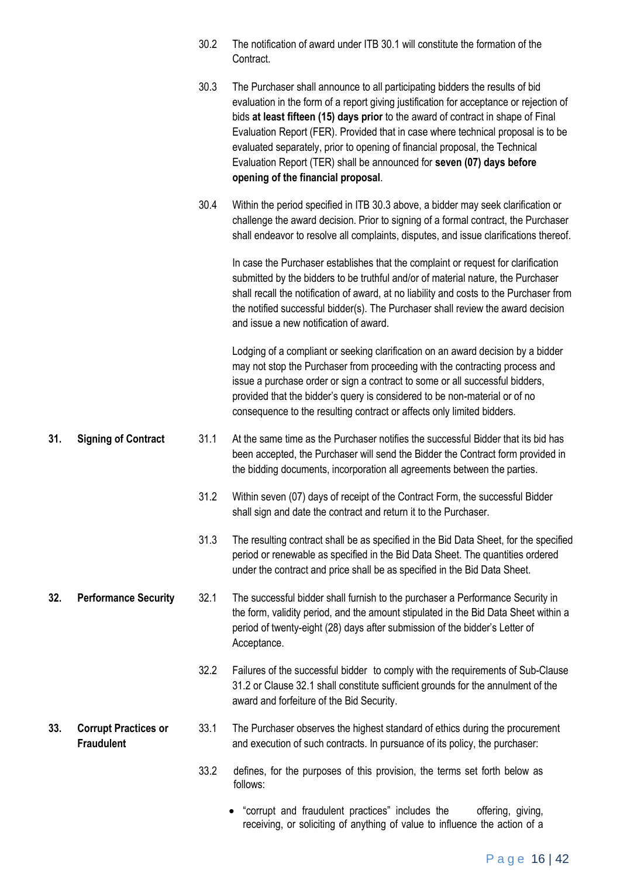|     |                                                  | 30.2 | The notification of award under ITB 30.1 will constitute the formation of the<br>Contract.                                                                                                                                                                                                                                                                                                                                                                                                                                                   |
|-----|--------------------------------------------------|------|----------------------------------------------------------------------------------------------------------------------------------------------------------------------------------------------------------------------------------------------------------------------------------------------------------------------------------------------------------------------------------------------------------------------------------------------------------------------------------------------------------------------------------------------|
|     |                                                  | 30.3 | The Purchaser shall announce to all participating bidders the results of bid<br>evaluation in the form of a report giving justification for acceptance or rejection of<br>bids at least fifteen (15) days prior to the award of contract in shape of Final<br>Evaluation Report (FER). Provided that in case where technical proposal is to be<br>evaluated separately, prior to opening of financial proposal, the Technical<br>Evaluation Report (TER) shall be announced for seven (07) days before<br>opening of the financial proposal. |
|     |                                                  | 30.4 | Within the period specified in ITB 30.3 above, a bidder may seek clarification or<br>challenge the award decision. Prior to signing of a formal contract, the Purchaser<br>shall endeavor to resolve all complaints, disputes, and issue clarifications thereof.                                                                                                                                                                                                                                                                             |
|     |                                                  |      | In case the Purchaser establishes that the complaint or request for clarification<br>submitted by the bidders to be truthful and/or of material nature, the Purchaser<br>shall recall the notification of award, at no liability and costs to the Purchaser from<br>the notified successful bidder(s). The Purchaser shall review the award decision<br>and issue a new notification of award.                                                                                                                                               |
|     |                                                  |      | Lodging of a compliant or seeking clarification on an award decision by a bidder<br>may not stop the Purchaser from proceeding with the contracting process and<br>issue a purchase order or sign a contract to some or all successful bidders,<br>provided that the bidder's query is considered to be non-material or of no<br>consequence to the resulting contract or affects only limited bidders.                                                                                                                                      |
| 31. | <b>Signing of Contract</b>                       | 31.1 | At the same time as the Purchaser notifies the successful Bidder that its bid has<br>been accepted, the Purchaser will send the Bidder the Contract form provided in<br>the bidding documents, incorporation all agreements between the parties.                                                                                                                                                                                                                                                                                             |
|     |                                                  | 31.2 | Within seven (07) days of receipt of the Contract Form, the successful Bidder<br>shall sign and date the contract and return it to the Purchaser.                                                                                                                                                                                                                                                                                                                                                                                            |
|     |                                                  | 31.3 | The resulting contract shall be as specified in the Bid Data Sheet, for the specified<br>period or renewable as specified in the Bid Data Sheet. The quantities ordered<br>under the contract and price shall be as specified in the Bid Data Sheet.                                                                                                                                                                                                                                                                                         |
| 32. | <b>Performance Security</b>                      | 32.1 | The successful bidder shall furnish to the purchaser a Performance Security in<br>the form, validity period, and the amount stipulated in the Bid Data Sheet within a<br>period of twenty-eight (28) days after submission of the bidder's Letter of<br>Acceptance.                                                                                                                                                                                                                                                                          |
|     |                                                  | 32.2 | Failures of the successful bidder to comply with the requirements of Sub-Clause<br>31.2 or Clause 32.1 shall constitute sufficient grounds for the annulment of the<br>award and forfeiture of the Bid Security.                                                                                                                                                                                                                                                                                                                             |
| 33. | <b>Corrupt Practices or</b><br><b>Fraudulent</b> | 33.1 | The Purchaser observes the highest standard of ethics during the procurement<br>and execution of such contracts. In pursuance of its policy, the purchaser:                                                                                                                                                                                                                                                                                                                                                                                  |
|     |                                                  | 33.2 | defines, for the purposes of this provision, the terms set forth below as<br>follows:                                                                                                                                                                                                                                                                                                                                                                                                                                                        |
|     |                                                  |      |                                                                                                                                                                                                                                                                                                                                                                                                                                                                                                                                              |

P a g e 16 | 42

 "corrupt and fraudulent practices" includes the offering, giving, receiving, or soliciting of anything of value to influence the action of a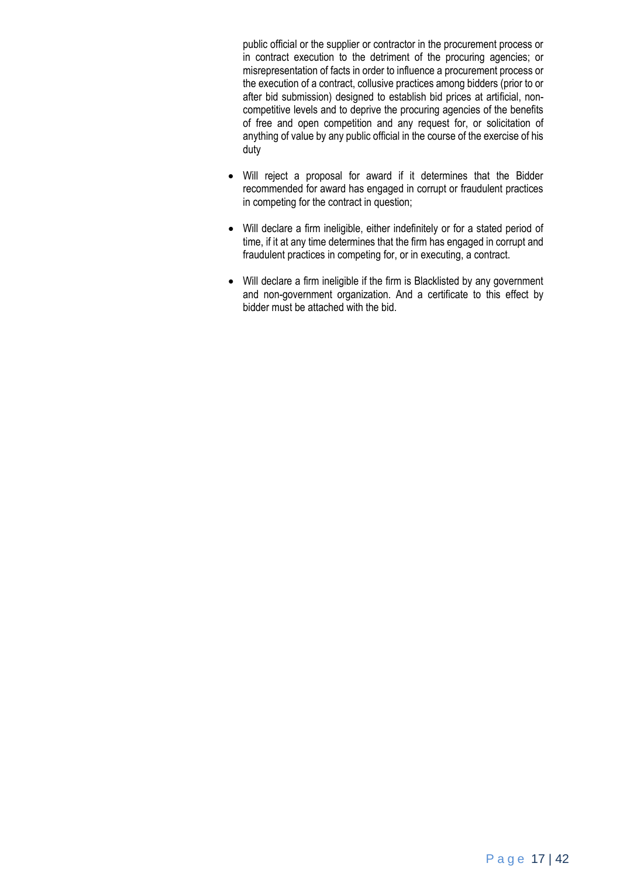public official or the supplier or contractor in the procurement process or in contract execution to the detriment of the procuring agencies; or misrepresentation of facts in order to influence a procurement process or the execution of a contract, collusive practices among bidders (prior to or after bid submission) designed to establish bid prices at artificial, noncompetitive levels and to deprive the procuring agencies of the benefits of free and open competition and any request for, or solicitation of anything of value by any public official in the course of the exercise of his duty

- Will reject a proposal for award if it determines that the Bidder recommended for award has engaged in corrupt or fraudulent practices in competing for the contract in question;
- Will declare a firm ineligible, either indefinitely or for a stated period of time, if it at any time determines that the firm has engaged in corrupt and fraudulent practices in competing for, or in executing, a contract.
- Will declare a firm ineligible if the firm is Blacklisted by any government and non-government organization. And a certificate to this effect by bidder must be attached with the bid.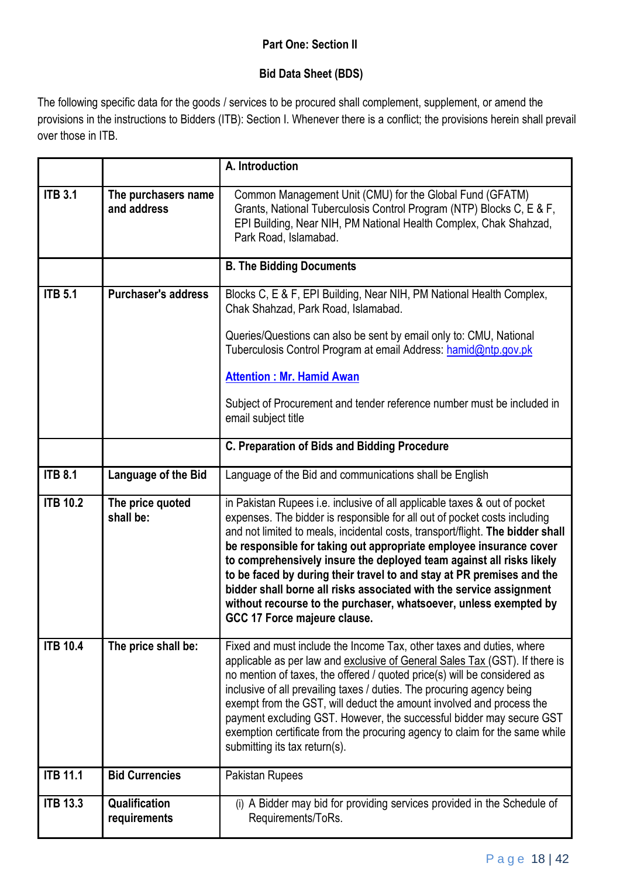### **Part One: Section II**

### **Bid Data Sheet (BDS)**

The following specific data for the goods / services to be procured shall complement, supplement, or amend the provisions in the instructions to Bidders (ITB): Section I. Whenever there is a conflict; the provisions herein shall prevail over those in ITB.

|                 |                                    | A. Introduction                                                                                                                                                                                                                                                                                                                                                                                                                                                                                                                                                                                                                             |
|-----------------|------------------------------------|---------------------------------------------------------------------------------------------------------------------------------------------------------------------------------------------------------------------------------------------------------------------------------------------------------------------------------------------------------------------------------------------------------------------------------------------------------------------------------------------------------------------------------------------------------------------------------------------------------------------------------------------|
| <b>ITB 3.1</b>  | The purchasers name<br>and address | Common Management Unit (CMU) for the Global Fund (GFATM)<br>Grants, National Tuberculosis Control Program (NTP) Blocks C, E & F,<br>EPI Building, Near NIH, PM National Health Complex, Chak Shahzad,<br>Park Road, Islamabad.                                                                                                                                                                                                                                                                                                                                                                                                              |
|                 |                                    | <b>B. The Bidding Documents</b>                                                                                                                                                                                                                                                                                                                                                                                                                                                                                                                                                                                                             |
| <b>ITB 5.1</b>  | <b>Purchaser's address</b>         | Blocks C, E & F, EPI Building, Near NIH, PM National Health Complex,<br>Chak Shahzad, Park Road, Islamabad.<br>Queries/Questions can also be sent by email only to: CMU, National<br>Tuberculosis Control Program at email Address: hamid@ntp.gov.pk<br><b>Attention: Mr. Hamid Awan</b><br>Subject of Procurement and tender reference number must be included in                                                                                                                                                                                                                                                                          |
|                 |                                    | email subject title                                                                                                                                                                                                                                                                                                                                                                                                                                                                                                                                                                                                                         |
|                 |                                    | <b>C. Preparation of Bids and Bidding Procedure</b>                                                                                                                                                                                                                                                                                                                                                                                                                                                                                                                                                                                         |
| <b>ITB 8.1</b>  | Language of the Bid                | Language of the Bid and communications shall be English                                                                                                                                                                                                                                                                                                                                                                                                                                                                                                                                                                                     |
| <b>ITB 10.2</b> | The price quoted<br>shall be:      | in Pakistan Rupees i.e. inclusive of all applicable taxes & out of pocket<br>expenses. The bidder is responsible for all out of pocket costs including<br>and not limited to meals, incidental costs, transport/flight. The bidder shall<br>be responsible for taking out appropriate employee insurance cover<br>to comprehensively insure the deployed team against all risks likely<br>to be faced by during their travel to and stay at PR premises and the<br>bidder shall borne all risks associated with the service assignment<br>without recourse to the purchaser, whatsoever, unless exempted by<br>GCC 17 Force majeure clause. |
| <b>ITB 10.4</b> | The price shall be:                | Fixed and must include the Income Tax, other taxes and duties, where<br>applicable as per law and exclusive of General Sales Tax (GST). If there is<br>no mention of taxes, the offered / quoted price(s) will be considered as<br>inclusive of all prevailing taxes / duties. The procuring agency being<br>exempt from the GST, will deduct the amount involved and process the<br>payment excluding GST. However, the successful bidder may secure GST<br>exemption certificate from the procuring agency to claim for the same while<br>submitting its tax return(s).                                                                   |
| <b>ITB 11.1</b> | <b>Bid Currencies</b>              | Pakistan Rupees                                                                                                                                                                                                                                                                                                                                                                                                                                                                                                                                                                                                                             |
| <b>ITB 13.3</b> | Qualification<br>requirements      | (i) A Bidder may bid for providing services provided in the Schedule of<br>Requirements/ToRs.                                                                                                                                                                                                                                                                                                                                                                                                                                                                                                                                               |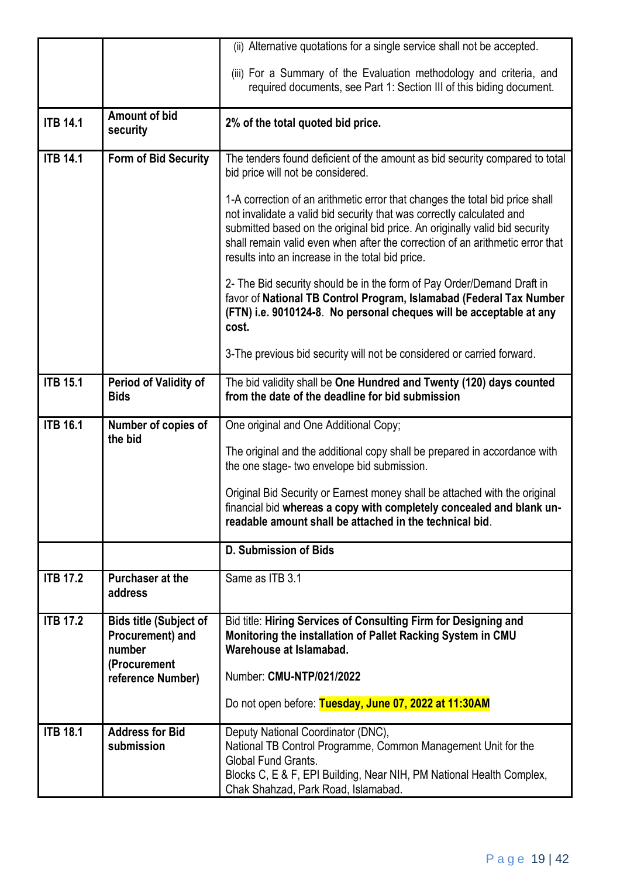|                 |                                                                             | (ii) Alternative quotations for a single service shall not be accepted.                                                                                                                                                                                                                                                                                                   |
|-----------------|-----------------------------------------------------------------------------|---------------------------------------------------------------------------------------------------------------------------------------------------------------------------------------------------------------------------------------------------------------------------------------------------------------------------------------------------------------------------|
|                 |                                                                             | (iii) For a Summary of the Evaluation methodology and criteria, and<br>required documents, see Part 1: Section III of this biding document.                                                                                                                                                                                                                               |
| <b>ITB 14.1</b> | <b>Amount of bid</b><br>security                                            | 2% of the total quoted bid price.                                                                                                                                                                                                                                                                                                                                         |
| <b>ITB 14.1</b> | <b>Form of Bid Security</b>                                                 | The tenders found deficient of the amount as bid security compared to total<br>bid price will not be considered.                                                                                                                                                                                                                                                          |
|                 |                                                                             | 1-A correction of an arithmetic error that changes the total bid price shall<br>not invalidate a valid bid security that was correctly calculated and<br>submitted based on the original bid price. An originally valid bid security<br>shall remain valid even when after the correction of an arithmetic error that<br>results into an increase in the total bid price. |
|                 |                                                                             | 2- The Bid security should be in the form of Pay Order/Demand Draft in<br>favor of National TB Control Program, Islamabad (Federal Tax Number<br>(FTN) i.e. 9010124-8. No personal cheques will be acceptable at any<br>cost.                                                                                                                                             |
|                 |                                                                             | 3-The previous bid security will not be considered or carried forward.                                                                                                                                                                                                                                                                                                    |
| <b>ITB 15.1</b> | <b>Period of Validity of</b><br><b>Bids</b>                                 | The bid validity shall be One Hundred and Twenty (120) days counted<br>from the date of the deadline for bid submission                                                                                                                                                                                                                                                   |
| <b>ITB 16.1</b> | Number of copies of                                                         | One original and One Additional Copy;                                                                                                                                                                                                                                                                                                                                     |
|                 | the bid                                                                     | The original and the additional copy shall be prepared in accordance with<br>the one stage- two envelope bid submission.                                                                                                                                                                                                                                                  |
|                 |                                                                             | Original Bid Security or Earnest money shall be attached with the original<br>financial bid whereas a copy with completely concealed and blank un-<br>readable amount shall be attached in the technical bid.                                                                                                                                                             |
|                 |                                                                             | D. Submission of Bids                                                                                                                                                                                                                                                                                                                                                     |
| <b>ITB 17.2</b> | <b>Purchaser at the</b><br>address                                          | Same as ITB 3.1                                                                                                                                                                                                                                                                                                                                                           |
| <b>ITB 17.2</b> | <b>Bids title (Subject of</b><br>Procurement) and<br>number<br>(Procurement | Bid title: Hiring Services of Consulting Firm for Designing and<br>Monitoring the installation of Pallet Racking System in CMU<br>Warehouse at Islamabad.                                                                                                                                                                                                                 |
|                 | reference Number)                                                           | Number: CMU-NTP/021/2022                                                                                                                                                                                                                                                                                                                                                  |
|                 |                                                                             | Do not open before: Tuesday, June 07, 2022 at 11:30AM                                                                                                                                                                                                                                                                                                                     |
| <b>ITB 18.1</b> | <b>Address for Bid</b><br>submission                                        | Deputy National Coordinator (DNC),<br>National TB Control Programme, Common Management Unit for the<br><b>Global Fund Grants.</b><br>Blocks C, E & F, EPI Building, Near NIH, PM National Health Complex,<br>Chak Shahzad, Park Road, Islamabad.                                                                                                                          |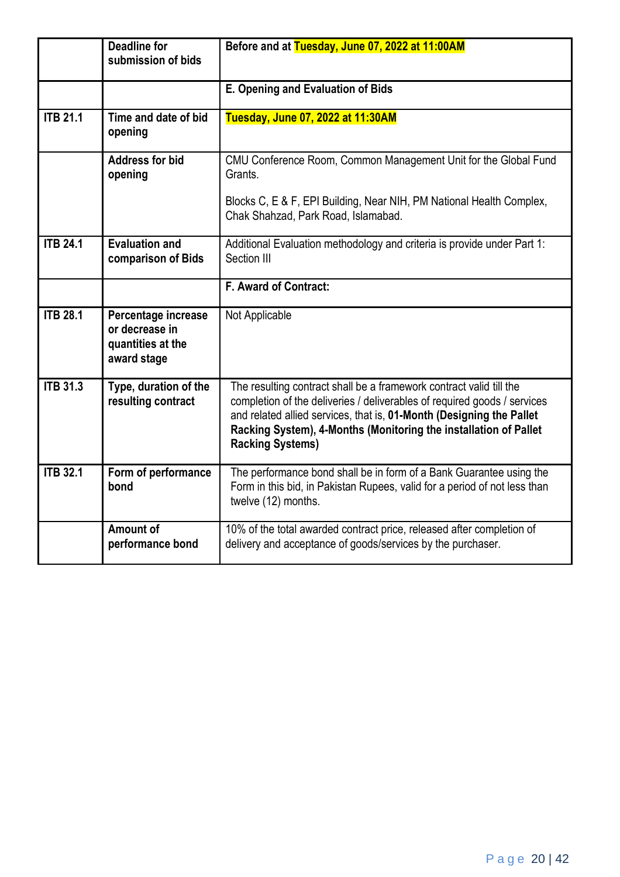|                 | <b>Deadline for</b><br>submission of bids                                 | Before and at Tuesday, June 07, 2022 at 11:00AM                                                                                                                                                                                                                                                                        |
|-----------------|---------------------------------------------------------------------------|------------------------------------------------------------------------------------------------------------------------------------------------------------------------------------------------------------------------------------------------------------------------------------------------------------------------|
|                 |                                                                           | E. Opening and Evaluation of Bids                                                                                                                                                                                                                                                                                      |
| <b>ITB 21.1</b> | Time and date of bid<br>opening                                           | Tuesday, June 07, 2022 at 11:30AM                                                                                                                                                                                                                                                                                      |
|                 | <b>Address for bid</b><br>opening                                         | CMU Conference Room, Common Management Unit for the Global Fund<br>Grants.                                                                                                                                                                                                                                             |
|                 |                                                                           | Blocks C, E & F, EPI Building, Near NIH, PM National Health Complex,<br>Chak Shahzad, Park Road, Islamabad.                                                                                                                                                                                                            |
| <b>ITB 24.1</b> | <b>Evaluation and</b><br>comparison of Bids                               | Additional Evaluation methodology and criteria is provide under Part 1:<br>Section III                                                                                                                                                                                                                                 |
|                 |                                                                           | F. Award of Contract:                                                                                                                                                                                                                                                                                                  |
| <b>ITB 28.1</b> | Percentage increase<br>or decrease in<br>quantities at the<br>award stage | Not Applicable                                                                                                                                                                                                                                                                                                         |
| <b>ITB 31.3</b> | Type, duration of the<br>resulting contract                               | The resulting contract shall be a framework contract valid till the<br>completion of the deliveries / deliverables of required goods / services<br>and related allied services, that is, 01-Month (Designing the Pallet<br>Racking System), 4-Months (Monitoring the installation of Pallet<br><b>Racking Systems)</b> |
| <b>ITB 32.1</b> | Form of performance<br>bond                                               | The performance bond shall be in form of a Bank Guarantee using the<br>Form in this bid, in Pakistan Rupees, valid for a period of not less than<br>twelve (12) months.                                                                                                                                                |
|                 | Amount of<br>performance bond                                             | 10% of the total awarded contract price, released after completion of<br>delivery and acceptance of goods/services by the purchaser.                                                                                                                                                                                   |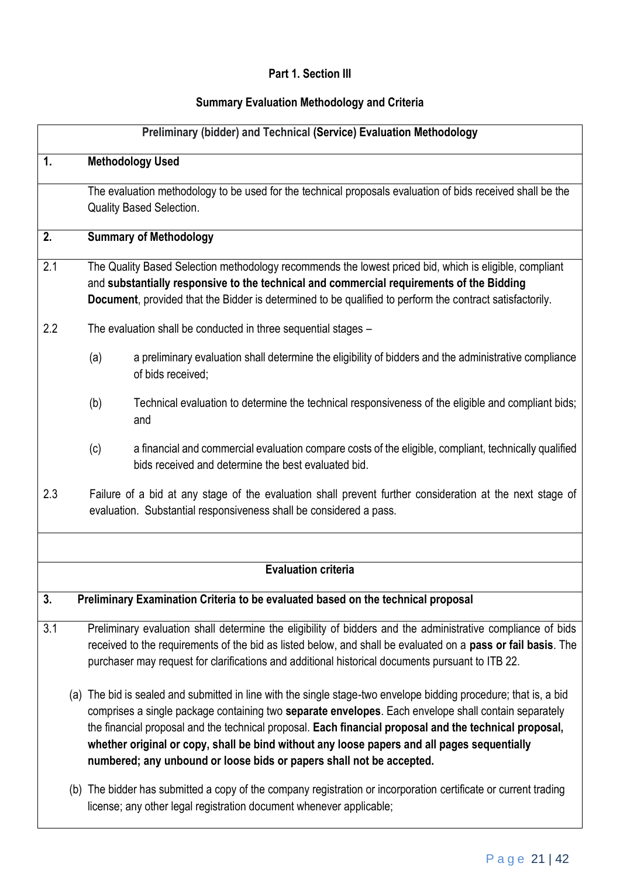### **Part 1. Section III**

## **Summary Evaluation Methodology and Criteria**

|                |                                                                                                                                                                                                                                                                                                                | Preliminary (bidder) and Technical (Service) Evaluation Methodology                                                                                                                                                                                                                                                                                                                                                                                                                                       |  |  |
|----------------|----------------------------------------------------------------------------------------------------------------------------------------------------------------------------------------------------------------------------------------------------------------------------------------------------------------|-----------------------------------------------------------------------------------------------------------------------------------------------------------------------------------------------------------------------------------------------------------------------------------------------------------------------------------------------------------------------------------------------------------------------------------------------------------------------------------------------------------|--|--|
| $\mathbf{1}$ . |                                                                                                                                                                                                                                                                                                                | <b>Methodology Used</b>                                                                                                                                                                                                                                                                                                                                                                                                                                                                                   |  |  |
|                |                                                                                                                                                                                                                                                                                                                | The evaluation methodology to be used for the technical proposals evaluation of bids received shall be the<br><b>Quality Based Selection.</b>                                                                                                                                                                                                                                                                                                                                                             |  |  |
| 2.             |                                                                                                                                                                                                                                                                                                                | <b>Summary of Methodology</b>                                                                                                                                                                                                                                                                                                                                                                                                                                                                             |  |  |
| 2.1            | The Quality Based Selection methodology recommends the lowest priced bid, which is eligible, compliant<br>and substantially responsive to the technical and commercial requirements of the Bidding<br>Document, provided that the Bidder is determined to be qualified to perform the contract satisfactorily. |                                                                                                                                                                                                                                                                                                                                                                                                                                                                                                           |  |  |
| 2.2            |                                                                                                                                                                                                                                                                                                                | The evaluation shall be conducted in three sequential stages -                                                                                                                                                                                                                                                                                                                                                                                                                                            |  |  |
|                | (a)                                                                                                                                                                                                                                                                                                            | a preliminary evaluation shall determine the eligibility of bidders and the administrative compliance<br>of bids received;                                                                                                                                                                                                                                                                                                                                                                                |  |  |
|                | (b)                                                                                                                                                                                                                                                                                                            | Technical evaluation to determine the technical responsiveness of the eligible and compliant bids;<br>and                                                                                                                                                                                                                                                                                                                                                                                                 |  |  |
|                | (c)                                                                                                                                                                                                                                                                                                            | a financial and commercial evaluation compare costs of the eligible, compliant, technically qualified<br>bids received and determine the best evaluated bid.                                                                                                                                                                                                                                                                                                                                              |  |  |
| 2.3            | Failure of a bid at any stage of the evaluation shall prevent further consideration at the next stage of<br>evaluation. Substantial responsiveness shall be considered a pass.                                                                                                                                 |                                                                                                                                                                                                                                                                                                                                                                                                                                                                                                           |  |  |
|                |                                                                                                                                                                                                                                                                                                                |                                                                                                                                                                                                                                                                                                                                                                                                                                                                                                           |  |  |
|                |                                                                                                                                                                                                                                                                                                                | <b>Evaluation criteria</b>                                                                                                                                                                                                                                                                                                                                                                                                                                                                                |  |  |
| 3.             |                                                                                                                                                                                                                                                                                                                | Preliminary Examination Criteria to be evaluated based on the technical proposal                                                                                                                                                                                                                                                                                                                                                                                                                          |  |  |
| 3.1            |                                                                                                                                                                                                                                                                                                                | Preliminary evaluation shall determine the eligibility of bidders and the administrative compliance of bids<br>received to the requirements of the bid as listed below, and shall be evaluated on a pass or fail basis. The<br>purchaser may request for clarifications and additional historical documents pursuant to ITB 22.                                                                                                                                                                           |  |  |
|                |                                                                                                                                                                                                                                                                                                                | (a) The bid is sealed and submitted in line with the single stage-two envelope bidding procedure; that is, a bid<br>comprises a single package containing two separate envelopes. Each envelope shall contain separately<br>the financial proposal and the technical proposal. Each financial proposal and the technical proposal,<br>whether original or copy, shall be bind without any loose papers and all pages sequentially<br>numbered; any unbound or loose bids or papers shall not be accepted. |  |  |
|                |                                                                                                                                                                                                                                                                                                                | (b) The bidder has submitted a copy of the company registration or incorporation certificate or current trading<br>license; any other legal registration document whenever applicable;                                                                                                                                                                                                                                                                                                                    |  |  |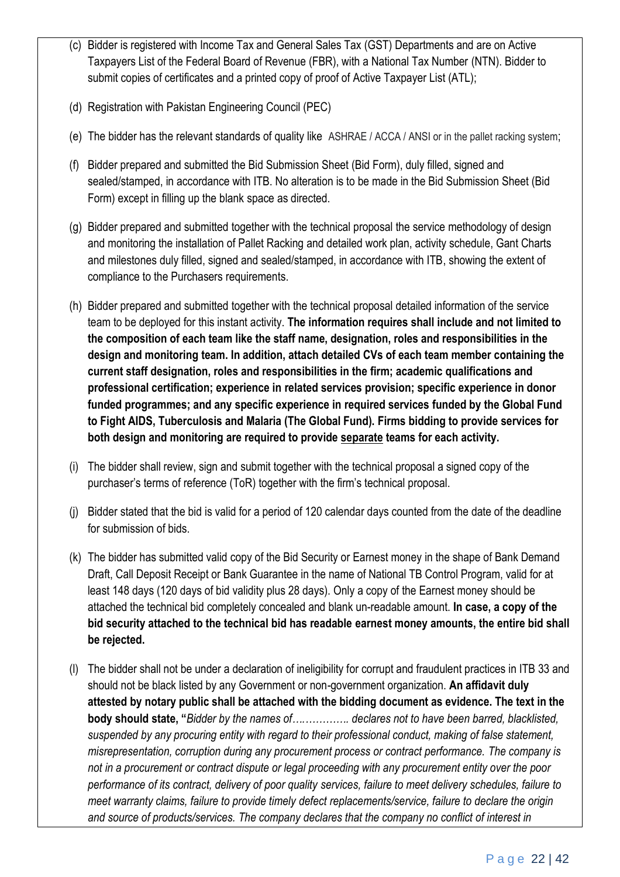- (c) Bidder is registered with Income Tax and General Sales Tax (GST) Departments and are on Active Taxpayers List of the Federal Board of Revenue (FBR), with a National Tax Number (NTN). Bidder to submit copies of certificates and a printed copy of proof of Active Taxpayer List (ATL):
- (d) Registration with Pakistan Engineering Council (PEC)
- (e) The bidder has the relevant standards of quality like ASHRAE / ACCA / ANSI or in the pallet racking system;
- (f) Bidder prepared and submitted the Bid Submission Sheet (Bid Form), duly filled, signed and sealed/stamped, in accordance with ITB. No alteration is to be made in the Bid Submission Sheet (Bid Form) except in filling up the blank space as directed.
- (g) Bidder prepared and submitted together with the technical proposal the service methodology of design and monitoring the installation of Pallet Racking and detailed work plan, activity schedule, Gant Charts and milestones duly filled, signed and sealed/stamped, in accordance with ITB, showing the extent of compliance to the Purchasers requirements.
- (h) Bidder prepared and submitted together with the technical proposal detailed information of the service team to be deployed for this instant activity. **The information requires shall include and not limited to the composition of each team like the staff name, designation, roles and responsibilities in the design and monitoring team. In addition, attach detailed CVs of each team member containing the current staff designation, roles and responsibilities in the firm; academic qualifications and professional certification; experience in related services provision; specific experience in donor funded programmes; and any specific experience in required services funded by the Global Fund to Fight AIDS, Tuberculosis and Malaria (The Global Fund). Firms bidding to provide services for both design and monitoring are required to provide separate teams for each activity.**
- (i) The bidder shall review, sign and submit together with the technical proposal a signed copy of the purchaser's terms of reference (ToR) together with the firm's technical proposal.
- (j) Bidder stated that the bid is valid for a period of 120 calendar days counted from the date of the deadline for submission of bids.
- (k) The bidder has submitted valid copy of the Bid Security or Earnest money in the shape of Bank Demand Draft, Call Deposit Receipt or Bank Guarantee in the name of National TB Control Program, valid for at least 148 days (120 days of bid validity plus 28 days). Only a copy of the Earnest money should be attached the technical bid completely concealed and blank un-readable amount. **In case, a copy of the bid security attached to the technical bid has readable earnest money amounts, the entire bid shall be rejected.**
- (l) The bidder shall not be under a declaration of ineligibility for corrupt and fraudulent practices in ITB 33 and should not be black listed by any Government or non-government organization. **An affidavit duly attested by notary public shall be attached with the bidding document as evidence. The text in the body should state, "***Bidder by the names of….…………. declares not to have been barred, blacklisted, suspended by any procuring entity with regard to their professional conduct, making of false statement, misrepresentation, corruption during any procurement process or contract performance. The company is not in a procurement or contract dispute or legal proceeding with any procurement entity over the poor performance of its contract, delivery of poor quality services, failure to meet delivery schedules, failure to meet warranty claims, failure to provide timely defect replacements/service, failure to declare the origin and source of products/services. The company declares that the company no conflict of interest in*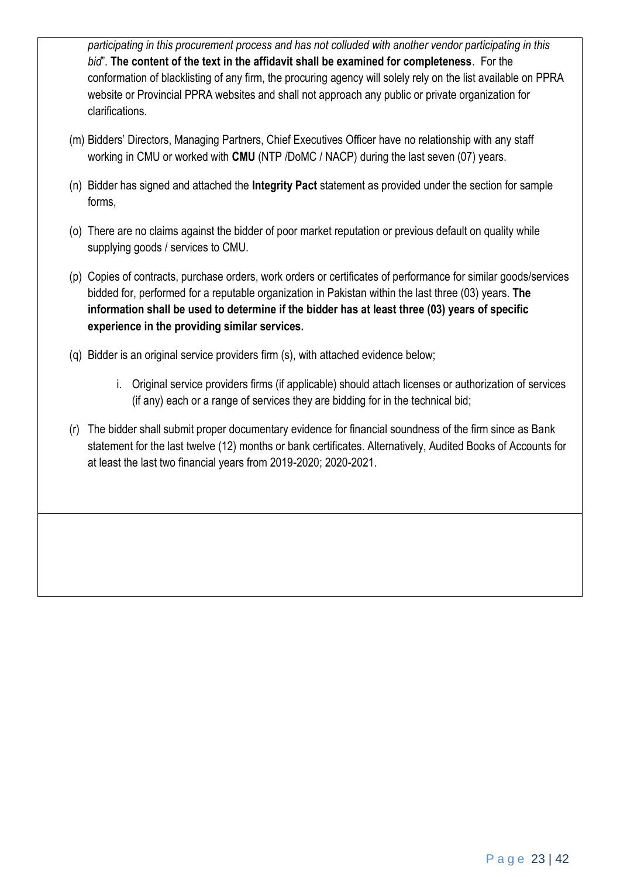*participating in this procurement process and has not colluded with another vendor participating in this bid*". **The content of the text in the affidavit shall be examined for completeness**. For the conformation of blacklisting of any firm, the procuring agency will solely rely on the list available on PPRA website or Provincial PPRA websites and shall not approach any public or private organization for clarifications.

- (m) Bidders' Directors, Managing Partners, Chief Executives Officer have no relationship with any staff working in CMU or worked with **CMU** (NTP /DoMC / NACP) during the last seven (07) years.
- (n) Bidder has signed and attached the **Integrity Pact** statement as provided under the section for sample forms,
- (o) There are no claims against the bidder of poor market reputation or previous default on quality while supplying goods / services to CMU.
- (p) Copies of contracts, purchase orders, work orders or certificates of performance for similar goods/services bidded for, performed for a reputable organization in Pakistan within the last three (03) years. **The information shall be used to determine if the bidder has at least three (03) years of specific experience in the providing similar services.**
- (q) Bidder is an original service providers firm (s), with attached evidence below;
	- i. Original service providers firms (if applicable) should attach licenses or authorization of services (if any) each or a range of services they are bidding for in the technical bid;
- (r) The bidder shall submit proper documentary evidence for financial soundness of the firm since as Bank statement for the last twelve (12) months or bank certificates. Alternatively, Audited Books of Accounts for at least the last two financial years from 2019-2020; 2020-2021.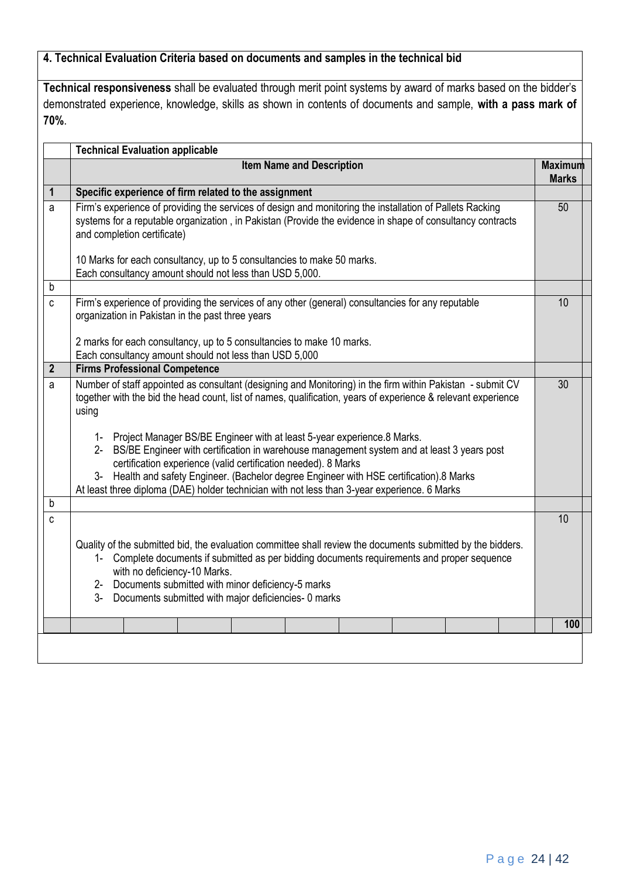### **4. Technical Evaluation Criteria based on documents and samples in the technical bid**

**Technical responsiveness** shall be evaluated through merit point systems by award of marks based on the bidder's demonstrated experience, knowledge, skills as shown in contents of documents and sample, **with a pass mark of 70%**.

|                | <b>Item Name and Description</b>                                                                                                                                                                                                                                                                                                                                                                                                                                                                                                                                                                                                                                                        | <b>Maximum</b> |
|----------------|-----------------------------------------------------------------------------------------------------------------------------------------------------------------------------------------------------------------------------------------------------------------------------------------------------------------------------------------------------------------------------------------------------------------------------------------------------------------------------------------------------------------------------------------------------------------------------------------------------------------------------------------------------------------------------------------|----------------|
|                |                                                                                                                                                                                                                                                                                                                                                                                                                                                                                                                                                                                                                                                                                         | <b>Marks</b>   |
| $\mathbf{1}$   | Specific experience of firm related to the assignment                                                                                                                                                                                                                                                                                                                                                                                                                                                                                                                                                                                                                                   |                |
| a              | Firm's experience of providing the services of design and monitoring the installation of Pallets Racking<br>systems for a reputable organization, in Pakistan (Provide the evidence in shape of consultancy contracts<br>and completion certificate)                                                                                                                                                                                                                                                                                                                                                                                                                                    | 50             |
|                | 10 Marks for each consultancy, up to 5 consultancies to make 50 marks.<br>Each consultancy amount should not less than USD 5,000.                                                                                                                                                                                                                                                                                                                                                                                                                                                                                                                                                       |                |
| $\mathsf b$    |                                                                                                                                                                                                                                                                                                                                                                                                                                                                                                                                                                                                                                                                                         |                |
| $\mathbf{c}$   | Firm's experience of providing the services of any other (general) consultancies for any reputable<br>organization in Pakistan in the past three years                                                                                                                                                                                                                                                                                                                                                                                                                                                                                                                                  | 10             |
|                | 2 marks for each consultancy, up to 5 consultancies to make 10 marks.                                                                                                                                                                                                                                                                                                                                                                                                                                                                                                                                                                                                                   |                |
| $\overline{2}$ | Each consultancy amount should not less than USD 5,000<br><b>Firms Professional Competence</b>                                                                                                                                                                                                                                                                                                                                                                                                                                                                                                                                                                                          |                |
|                |                                                                                                                                                                                                                                                                                                                                                                                                                                                                                                                                                                                                                                                                                         | 30             |
| a              | Number of staff appointed as consultant (designing and Monitoring) in the firm within Pakistan - submit CV<br>together with the bid the head count, list of names, qualification, years of experience & relevant experience<br>using<br>1- Project Manager BS/BE Engineer with at least 5-year experience.8 Marks.<br>BS/BE Engineer with certification in warehouse management system and at least 3 years post<br>$2 -$<br>certification experience (valid certification needed). 8 Marks<br>3- Health and safety Engineer. (Bachelor degree Engineer with HSE certification).8 Marks<br>At least three diploma (DAE) holder technician with not less than 3-year experience. 6 Marks |                |
| b              |                                                                                                                                                                                                                                                                                                                                                                                                                                                                                                                                                                                                                                                                                         |                |
| $\mathbf c$    | Quality of the submitted bid, the evaluation committee shall review the documents submitted by the bidders.<br>1- Complete documents if submitted as per bidding documents requirements and proper sequence<br>with no deficiency-10 Marks.<br>2- Documents submitted with minor deficiency-5 marks<br>$3-$<br>Documents submitted with major deficiencies- 0 marks                                                                                                                                                                                                                                                                                                                     | 10             |
|                |                                                                                                                                                                                                                                                                                                                                                                                                                                                                                                                                                                                                                                                                                         | 100            |
|                |                                                                                                                                                                                                                                                                                                                                                                                                                                                                                                                                                                                                                                                                                         |                |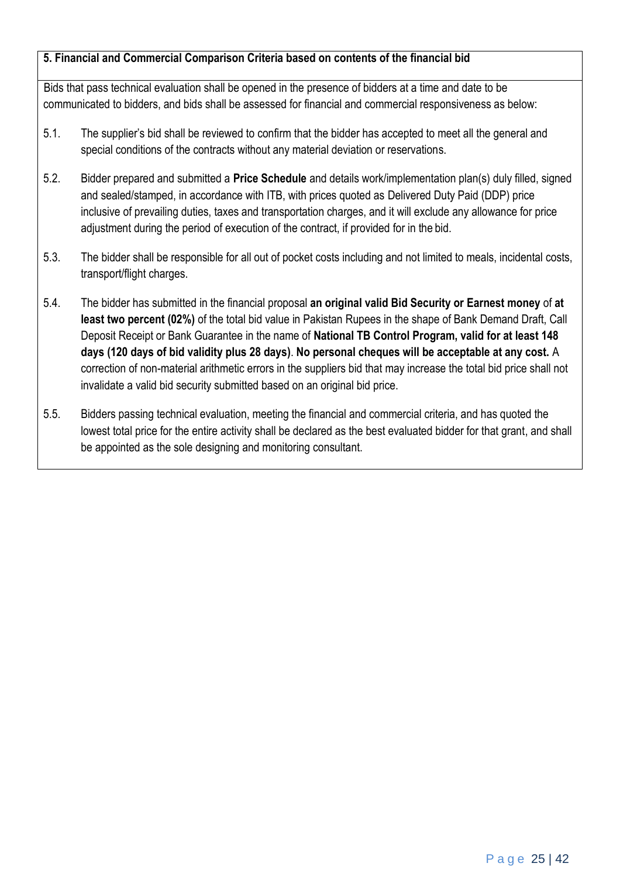### **5. Financial and Commercial Comparison Criteria based on contents of the financial bid**

Bids that pass technical evaluation shall be opened in the presence of bidders at a time and date to be communicated to bidders, and bids shall be assessed for financial and commercial responsiveness as below:

- 5.1. The supplier's bid shall be reviewed to confirm that the bidder has accepted to meet all the general and special conditions of the contracts without any material deviation or reservations.
- 5.2. Bidder prepared and submitted a **Price Schedule** and details work/implementation plan(s) duly filled, signed and sealed/stamped, in accordance with ITB, with prices quoted as Delivered Duty Paid (DDP) price inclusive of prevailing duties, taxes and transportation charges, and it will exclude any allowance for price adjustment during the period of execution of the contract, if provided for in the bid.
- 5.3. The bidder shall be responsible for all out of pocket costs including and not limited to meals, incidental costs, transport/flight charges.
- 5.4. The bidder has submitted in the financial proposal **an original valid Bid Security or Earnest money** of **at least two percent (02%)** of the total bid value in Pakistan Rupees in the shape of Bank Demand Draft, Call Deposit Receipt or Bank Guarantee in the name of **National TB Control Program, valid for at least 148 days (120 days of bid validity plus 28 days)**. **No personal cheques will be acceptable at any cost.** A correction of non-material arithmetic errors in the suppliers bid that may increase the total bid price shall not invalidate a valid bid security submitted based on an original bid price.
- 5.5. Bidders passing technical evaluation, meeting the financial and commercial criteria, and has quoted the lowest total price for the entire activity shall be declared as the best evaluated bidder for that grant, and shall be appointed as the sole designing and monitoring consultant.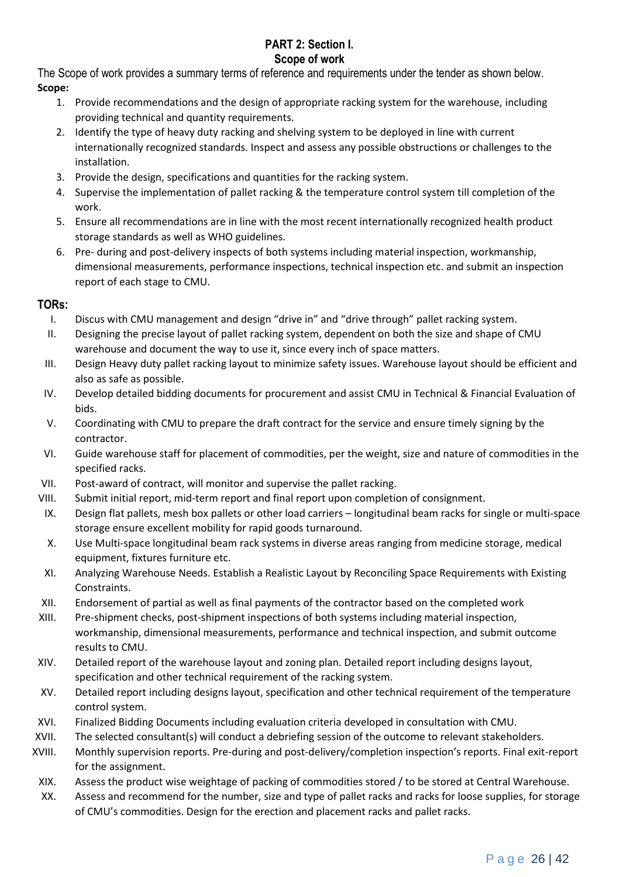#### **PART 2: Section I. Scope of work**

The Scope of work provides a summary terms of reference and requirements under the tender as shown below. **Scope:**

- 1. Provide recommendations and the design of appropriate racking system for the warehouse, including providing technical and quantity requirements.
- 2. Identify the type of heavy duty racking and shelving system to be deployed in line with current internationally recognized standards. Inspect and assess any possible obstructions or challenges to the installation.
- 3. Provide the design, specifications and quantities for the racking system.
- 4. Supervise the implementation of pallet racking & the temperature control system till completion of the work.
- 5. Ensure all recommendations are in line with the most recent internationally recognized health product storage standards as well as WHO guidelines.
- 6. Pre- during and post-delivery inspects of both systems including material inspection, workmanship, dimensional measurements, performance inspections, technical inspection etc. and submit an inspection report of each stage to CMU.

#### **TORs:**

- I. Discus with CMU management and design "drive in" and "drive through" pallet racking system.
- II. Designing the precise layout of pallet racking system, dependent on both the size and shape of CMU warehouse and document the way to use it, since every inch of space matters.
- III. Design Heavy duty pallet racking layout to minimize safety issues. Warehouse layout should be efficient and also as safe as possible.
- IV. Develop detailed bidding documents for procurement and assist CMU in Technical & Financial Evaluation of bids.
- V. Coordinating with CMU to prepare the draft contract for the service and ensure timely signing by the contractor.
- VI. Guide warehouse staff for placement of commodities, per the weight, size and nature of commodities in the specified racks.
- VII. Post-award of contract, will monitor and supervise the pallet racking.
- VIII. Submit initial report, mid-term report and final report upon completion of consignment.
- IX. Design flat pallets, mesh box pallets or other load carriers longitudinal beam racks for single or multi-space storage ensure excellent mobility for rapid goods turnaround.
- X. Use Multi-space longitudinal beam rack systems in diverse areas ranging from medicine storage, medical equipment, fixtures furniture etc.
- XI. Analyzing Warehouse Needs. Establish a Realistic Layout by Reconciling Space Requirements with Existing Constraints.
- XII. Endorsement of partial as well as final payments of the contractor based on the completed work
- XIII. Pre-shipment checks, post-shipment inspections of both systems including material inspection, workmanship, dimensional measurements, performance and technical inspection, and submit outcome results to CMU.
- XIV. Detailed report of the warehouse layout and zoning plan. Detailed report including designs layout, specification and other technical requirement of the racking system.
- XV. Detailed report including designs layout, specification and other technical requirement of the temperature control system.
- XVI. Finalized Bidding Documents including evaluation criteria developed in consultation with CMU.
- XVII. The selected consultant(s) will conduct a debriefing session of the outcome to relevant stakeholders.
- XVIII. Monthly supervision reports. Pre-during and post-delivery/completion inspection's reports. Final exit-report for the assignment.
- XIX. Assess the product wise weightage of packing of commodities stored / to be stored at Central Warehouse.
- XX. Assess and recommend for the number, size and type of pallet racks and racks for loose supplies, for storage of CMU's commodities. Design for the erection and placement racks and pallet racks.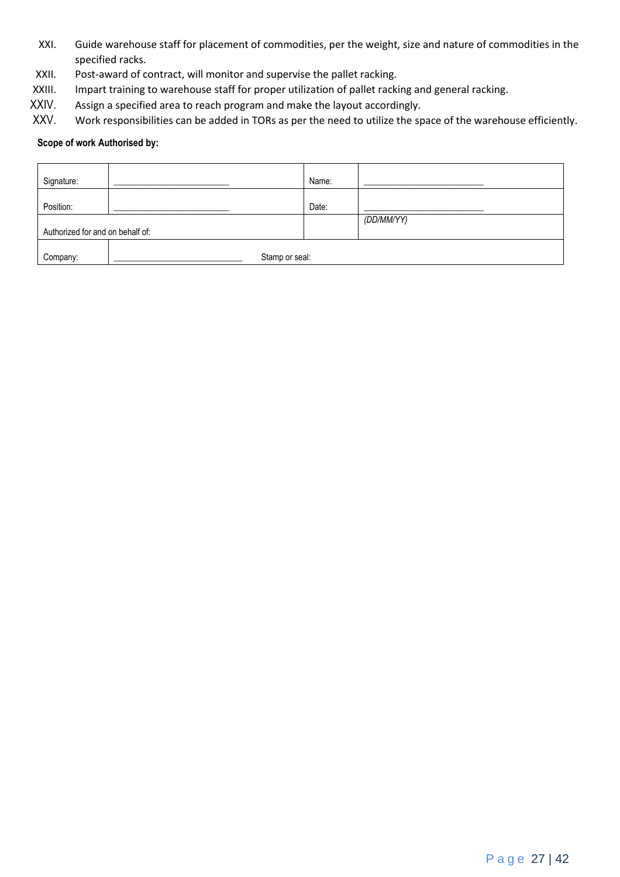- XXI. Guide warehouse staff for placement of commodities, per the weight, size and nature of commodities in the specified racks.
- XXII. Post-award of contract, will monitor and supervise the pallet racking.
- XXIII. Impart training to warehouse staff for proper utilization of pallet racking and general racking.
- XXIV. Assign a specified area to reach program and make the layout accordingly.<br>XXV. Work responsibilities can be added in TORs as per the need to utilize the sp
- Work responsibilities can be added in TORs as per the need to utilize the space of the warehouse efficiently.

#### **Scope of work Authorised by:**

| Signature:                       |                | Name: |            |
|----------------------------------|----------------|-------|------------|
| Position:                        |                | Date: |            |
|                                  |                |       | (DD/MM/YY) |
| Authorized for and on behalf of: |                |       |            |
|                                  |                |       |            |
| Company:                         | Stamp or seal: |       |            |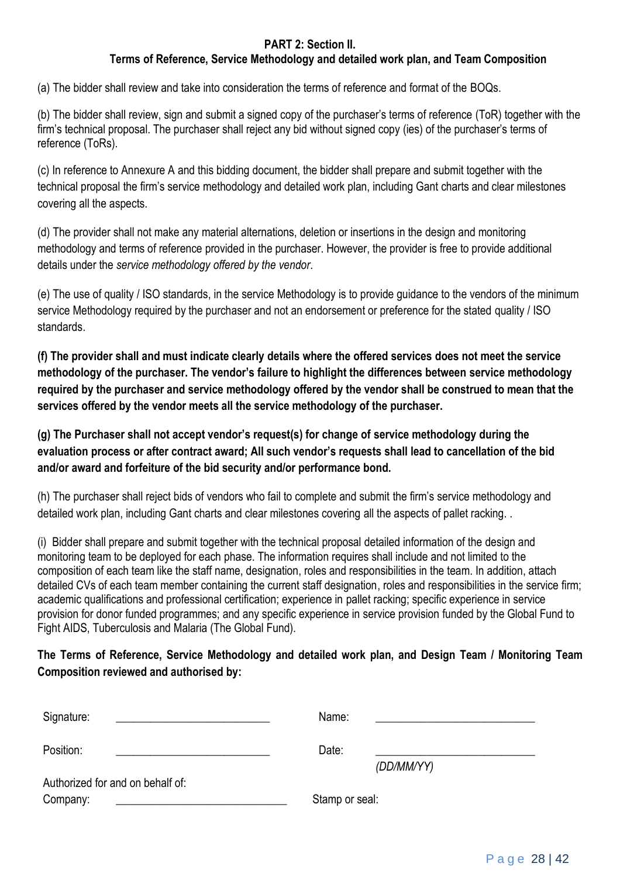### **PART 2: Section II.**

### **Terms of Reference, Service Methodology and detailed work plan, and Team Composition**

(a) The bidder shall review and take into consideration the terms of reference and format of the BOQs.

(b) The bidder shall review, sign and submit a signed copy of the purchaser's terms of reference (ToR) together with the firm's technical proposal. The purchaser shall reject any bid without signed copy (ies) of the purchaser's terms of reference (ToRs).

(c) In reference to Annexure A and this bidding document, the bidder shall prepare and submit together with the technical proposal the firm's service methodology and detailed work plan, including Gant charts and clear milestones covering all the aspects.

(d) The provider shall not make any material alternations, deletion or insertions in the design and monitoring methodology and terms of reference provided in the purchaser. However, the provider is free to provide additional details under the *service methodology offered by the vendor*.

(e) The use of quality / ISO standards, in the service Methodology is to provide guidance to the vendors of the minimum service Methodology required by the purchaser and not an endorsement or preference for the stated quality / ISO standards.

**(f) The provider shall and must indicate clearly details where the offered services does not meet the service methodology of the purchaser. The vendor's failure to highlight the differences between service methodology required by the purchaser and service methodology offered by the vendor shall be construed to mean that the services offered by the vendor meets all the service methodology of the purchaser.** 

**(g) The Purchaser shall not accept vendor's request(s) for change of service methodology during the evaluation process or after contract award; All such vendor's requests shall lead to cancellation of the bid and/or award and forfeiture of the bid security and/or performance bond.** 

(h) The purchaser shall reject bids of vendors who fail to complete and submit the firm's service methodology and detailed work plan, including Gant charts and clear milestones covering all the aspects of pallet racking. .

(i) Bidder shall prepare and submit together with the technical proposal detailed information of the design and monitoring team to be deployed for each phase. The information requires shall include and not limited to the composition of each team like the staff name, designation, roles and responsibilities in the team. In addition, attach detailed CVs of each team member containing the current staff designation, roles and responsibilities in the service firm; academic qualifications and professional certification; experience in pallet racking; specific experience in service provision for donor funded programmes; and any specific experience in service provision funded by the Global Fund to Fight AIDS, Tuberculosis and Malaria (The Global Fund).

### **The Terms of Reference, Service Methodology and detailed work plan, and Design Team / Monitoring Team Composition reviewed and authorised by:**

| Signature:                       | Name:          |
|----------------------------------|----------------|
| Position:                        | Date:          |
|                                  | (DD/MM/YY)     |
| Authorized for and on behalf of: |                |
| Company:                         | Stamp or seal: |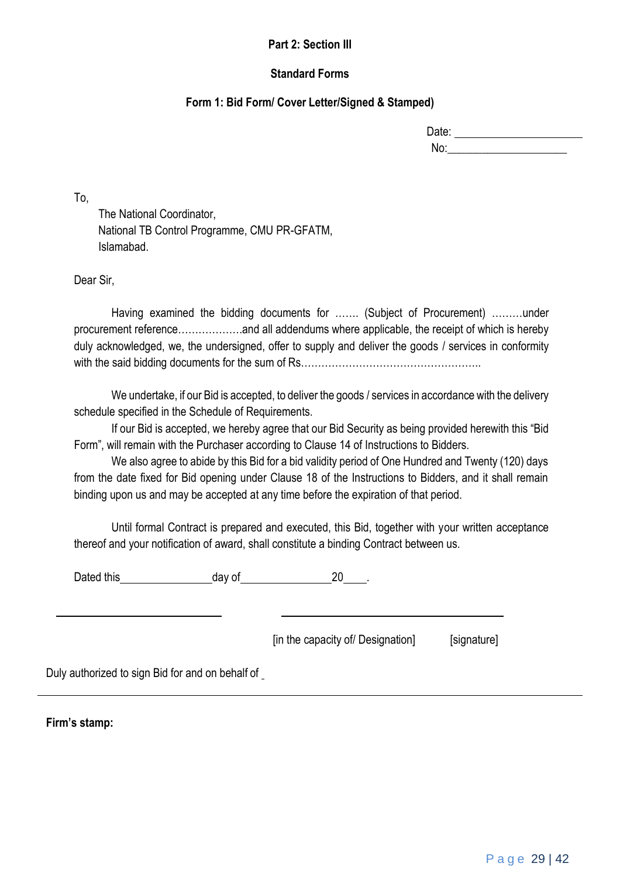#### **Part 2: Section III**

#### **Standard Forms**

#### **Form 1: Bid Form/ Cover Letter/Signed & Stamped)**

| Date: |  |
|-------|--|
| No:   |  |

To,

The National Coordinator, National TB Control Programme, CMU PR-GFATM, Islamabad.

Dear Sir,

Having examined the bidding documents for ……. (Subject of Procurement) ………under procurement reference……………….and all addendums where applicable, the receipt of which is hereby duly acknowledged, we, the undersigned, offer to supply and deliver the goods / services in conformity with the said bidding documents for the sum of Rs……………………………………………..

We undertake, if our Bid is accepted, to deliver the goods / services in accordance with the delivery schedule specified in the Schedule of Requirements.

If our Bid is accepted, we hereby agree that our Bid Security as being provided herewith this "Bid Form", will remain with the Purchaser according to Clause 14 of Instructions to Bidders.

We also agree to abide by this Bid for a bid validity period of One Hundred and Twenty (120) days from the date fixed for Bid opening under Clause 18 of the Instructions to Bidders, and it shall remain binding upon us and may be accepted at any time before the expiration of that period.

Until formal Contract is prepared and executed, this Bid, together with your written acceptance thereof and your notification of award, shall constitute a binding Contract between us.

Dated this day of 20 .

[in the capacity of Designation] [signature]

Duly authorized to sign Bid for and on behalf of

**Firm's stamp:**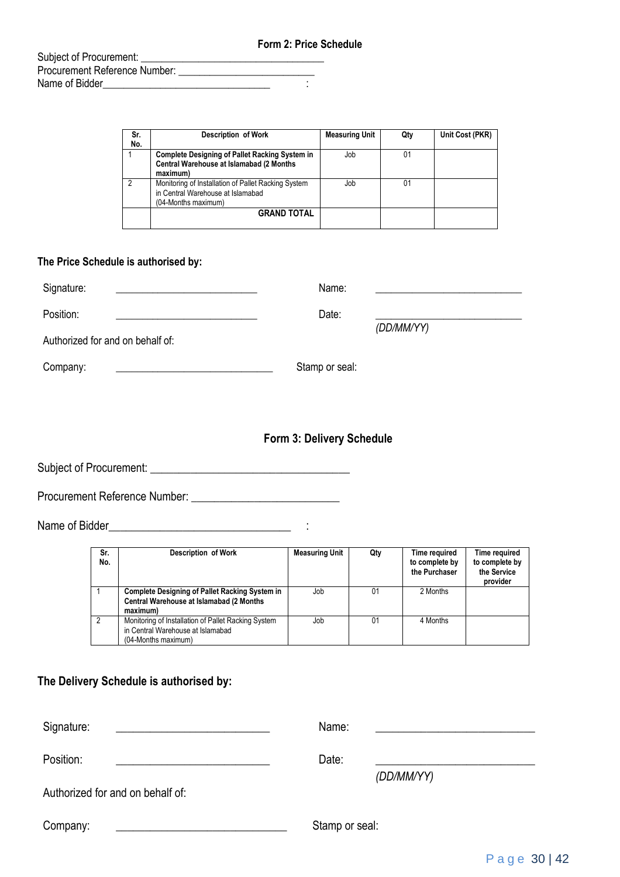|                                       | <b>Form 2: Price Schedule</b> |  |  |
|---------------------------------------|-------------------------------|--|--|
| Subject of Procurement:               |                               |  |  |
| Procurement Reference Number: Network |                               |  |  |
| Name of Bidder                        |                               |  |  |
|                                       |                               |  |  |

| Sr. | <b>Description of Work</b>                            | <b>Measuring Unit</b> | Qty | Unit Cost (PKR) |
|-----|-------------------------------------------------------|-----------------------|-----|-----------------|
| No. |                                                       |                       |     |                 |
|     | <b>Complete Designing of Pallet Racking System in</b> | Job                   | 01  |                 |
|     | Central Warehouse at Islamabad (2 Months              |                       |     |                 |
|     | maximum)                                              |                       |     |                 |
| 2   | Monitoring of Installation of Pallet Racking System   | Job                   | 01  |                 |
|     | in Central Warehouse at Islamabad                     |                       |     |                 |
|     | (04-Months maximum)                                   |                       |     |                 |
|     | <b>GRAND TOTAL</b>                                    |                       |     |                 |
|     |                                                       |                       |     |                 |

#### **The Price Schedule is authorised by:**

| Signature:                       | Name:          |            |
|----------------------------------|----------------|------------|
| Position:                        | Date:          | (DD/MM/YY) |
| Authorized for and on behalf of: |                |            |
| Company:                         | Stamp or seal: |            |

#### **Form 3: Delivery Schedule**

Subject of Procurement: \_\_\_\_\_\_\_\_\_\_\_\_\_\_\_\_\_\_\_\_\_\_\_\_\_\_\_\_\_\_\_\_\_\_\_

Procurement Reference Number: \_\_\_\_\_\_\_\_\_\_\_\_\_\_\_\_\_\_\_\_\_\_\_\_\_\_

Name of Bidder\_\_\_\_\_\_\_\_\_\_\_\_\_\_\_\_\_\_\_\_\_\_\_\_\_\_\_\_\_\_\_\_ :

| Sr.<br>No.     | <b>Description of Work</b>                                                                                      | <b>Measuring Unit</b> | Qty | Time required<br>to complete by<br>the Purchaser | Time required<br>to complete by<br>the Service<br>provider |
|----------------|-----------------------------------------------------------------------------------------------------------------|-----------------------|-----|--------------------------------------------------|------------------------------------------------------------|
|                | <b>Complete Designing of Pallet Racking System in</b><br>Central Warehouse at Islamabad (2 Months<br>maximum)   | Job                   | 01  | 2 Months                                         |                                                            |
| $\overline{2}$ | Monitoring of Installation of Pallet Racking System<br>in Central Warehouse at Islamabad<br>(04-Months maximum) | Job                   | 01  | 4 Months                                         |                                                            |

#### **The Delivery Schedule is authorised by:**

| Signature:                       | Name:               |
|----------------------------------|---------------------|
| Position:                        | Date:<br>(DD/MM/YY) |
| Authorized for and on behalf of: |                     |
| Company:                         | Stamp or seal:      |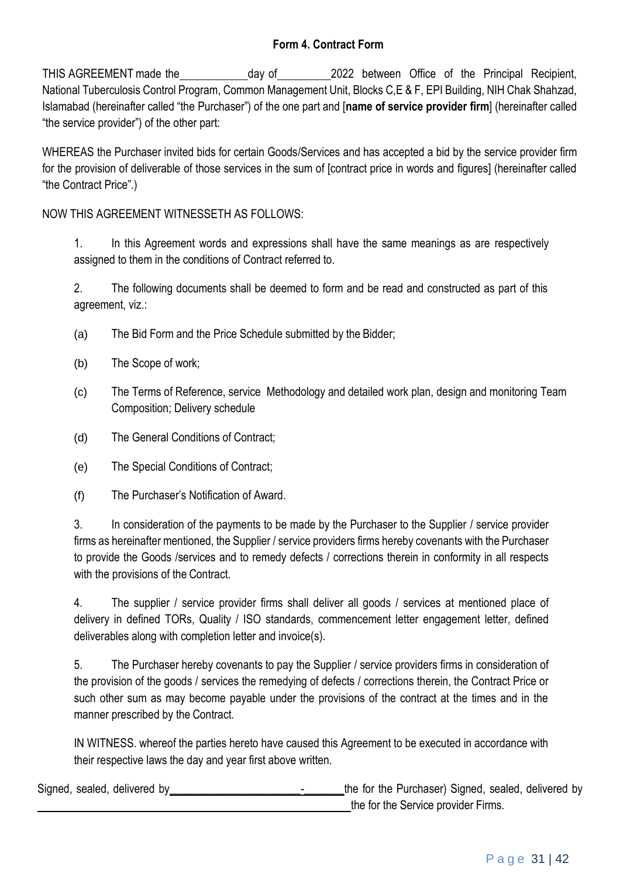### **Form 4. Contract Form**

THIS AGREEMENT made the day of 2022 between Office of the Principal Recipient, National Tuberculosis Control Program, Common Management Unit, Blocks C,E & F, EPI Building, NIH Chak Shahzad, Islamabad (hereinafter called "the Purchaser") of the one part and [**name of service provider firm**] (hereinafter called "the service provider") of the other part:

WHEREAS the Purchaser invited bids for certain Goods/Services and has accepted a bid by the service provider firm for the provision of deliverable of those services in the sum of [contract price in words and figures] (hereinafter called "the Contract Price".)

NOW THIS AGREEMENT WITNESSETH AS FOLLOWS:

1. In this Agreement words and expressions shall have the same meanings as are respectively assigned to them in the conditions of Contract referred to.

2. The following documents shall be deemed to form and be read and constructed as part of this agreement, viz.:

- (a) The Bid Form and the Price Schedule submitted by the Bidder;
- (b) The Scope of work;
- (c) The Terms of Reference, service Methodology and detailed work plan, design and monitoring Team Composition; Delivery schedule
- (d) The General Conditions of Contract;
- (e) The Special Conditions of Contract;
- (f) The Purchaser's Notification of Award.

3. In consideration of the payments to be made by the Purchaser to the Supplier / service provider firms as hereinafter mentioned, the Supplier / service providers firms hereby covenants with the Purchaser to provide the Goods /services and to remedy defects / corrections therein in conformity in all respects with the provisions of the Contract.

4. The supplier / service provider firms shall deliver all goods / services at mentioned place of delivery in defined TORs, Quality / ISO standards, commencement letter engagement letter, defined deliverables along with completion letter and invoice(s).

5. The Purchaser hereby covenants to pay the Supplier / service providers firms in consideration of the provision of the goods / services the remedying of defects / corrections therein, the Contract Price or such other sum as may become payable under the provisions of the contract at the times and in the manner prescribed by the Contract.

IN WITNESS. whereof the parties hereto have caused this Agreement to be executed in accordance with their respective laws the day and year first above written.

Signed, sealed, delivered by example and the form the for the Purchaser) Signed, sealed, delivered by the for the Service provider Firms.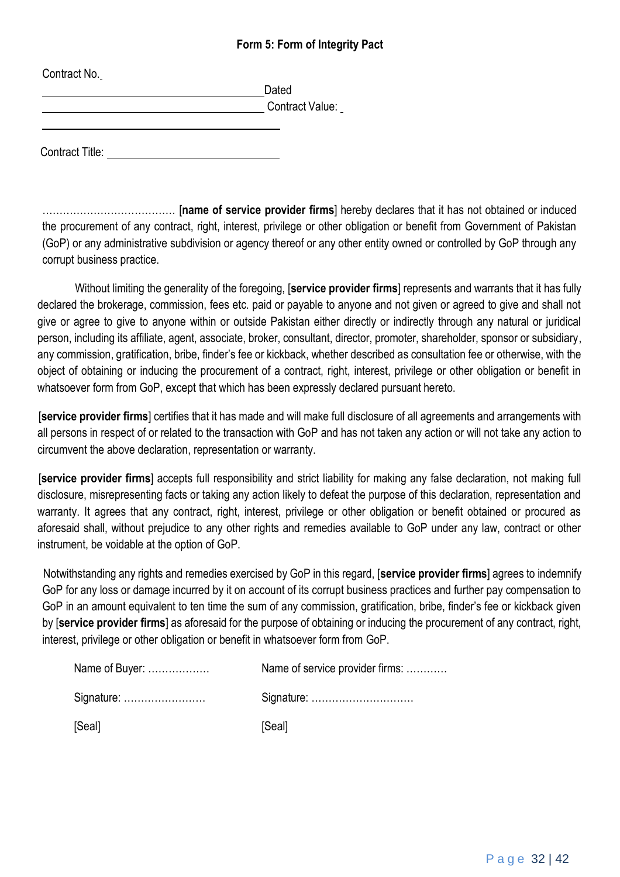#### **Form 5: Form of Integrity Pact**

| <b>UUITUALINU.</b> | Dated                  |
|--------------------|------------------------|
|                    | <b>Contract Value:</b> |
|                    |                        |

Contract No.

Contract Title:

………………………………… [**name of service provider firms**] hereby declares that it has not obtained or induced the procurement of any contract, right, interest, privilege or other obligation or benefit from Government of Pakistan (GoP) or any administrative subdivision or agency thereof or any other entity owned or controlled by GoP through any corrupt business practice.

Without limiting the generality of the foregoing, [**service provider firms**] represents and warrants that it has fully declared the brokerage, commission, fees etc. paid or payable to anyone and not given or agreed to give and shall not give or agree to give to anyone within or outside Pakistan either directly or indirectly through any natural or juridical person, including its affiliate, agent, associate, broker, consultant, director, promoter, shareholder, sponsor or subsidiary, any commission, gratification, bribe, finder's fee or kickback, whether described as consultation fee or otherwise, with the object of obtaining or inducing the procurement of a contract, right, interest, privilege or other obligation or benefit in whatsoever form from GoP, except that which has been expressly declared pursuant hereto.

[**service provider firms**] certifies that it has made and will make full disclosure of all agreements and arrangements with all persons in respect of or related to the transaction with GoP and has not taken any action or will not take any action to circumvent the above declaration, representation or warranty.

[**service provider firms**] accepts full responsibility and strict liability for making any false declaration, not making full disclosure, misrepresenting facts or taking any action likely to defeat the purpose of this declaration, representation and warranty. It agrees that any contract, right, interest, privilege or other obligation or benefit obtained or procured as aforesaid shall, without prejudice to any other rights and remedies available to GoP under any law, contract or other instrument, be voidable at the option of GoP.

Notwithstanding any rights and remedies exercised by GoP in this regard, [**service provider firms**] agrees to indemnify GoP for any loss or damage incurred by it on account of its corrupt business practices and further pay compensation to GoP in an amount equivalent to ten time the sum of any commission, gratification, bribe, finder's fee or kickback given by [**service provider firms**] as aforesaid for the purpose of obtaining or inducing the procurement of any contract, right, interest, privilege or other obligation or benefit in whatsoever form from GoP.

| Name of Buyer: | Name of service provider firms: |
|----------------|---------------------------------|
| Signature:     | Signature:                      |
| [Seal]         | [Seal]                          |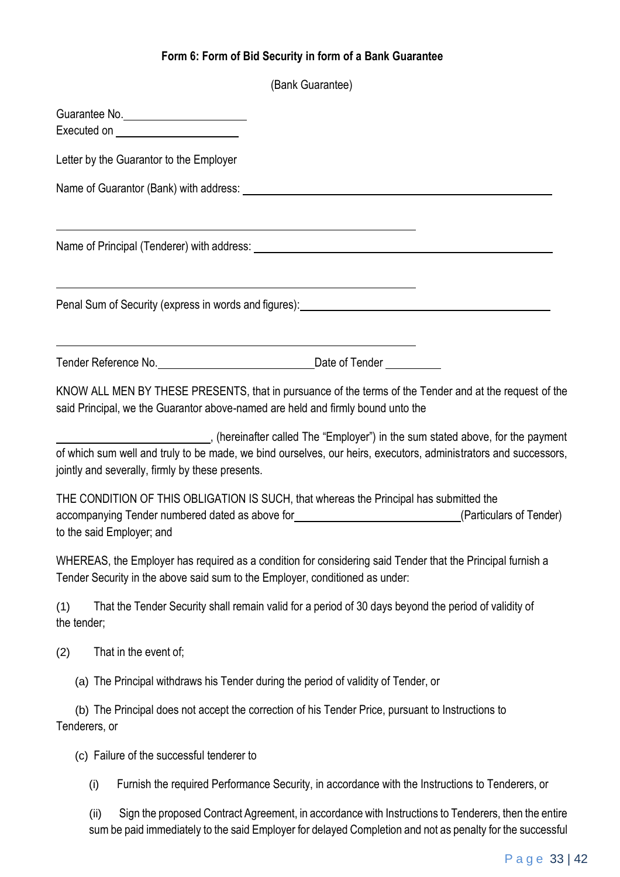## **Form 6: Form of Bid Security in form of a Bank Guarantee**

|                    |                                                                                                                        | (Bank Guarantee)                                                                                                                                                                                                               |
|--------------------|------------------------------------------------------------------------------------------------------------------------|--------------------------------------------------------------------------------------------------------------------------------------------------------------------------------------------------------------------------------|
|                    | Guarantee No.<br>Executed on <b>Executed</b> on                                                                        |                                                                                                                                                                                                                                |
|                    | Letter by the Guarantor to the Employer                                                                                |                                                                                                                                                                                                                                |
|                    |                                                                                                                        |                                                                                                                                                                                                                                |
|                    | <u> 1989 - Johann Barn, mars ann an t-Amhain ann an t-Amhain ann an t-Amhain ann an t-Amhain an t-Amhain ann an t-</u> | Name of Principal (Tenderer) with address: Name of Principal Control of Principal Control of Principal Control of the Second Second Second Second Second Second Second Second Second Second Second Second Second Second Second |
|                    |                                                                                                                        | <u> 1989 - Johann Stoff, Amerikaansk politiker (</u><br>Penal Sum of Security (express in words and figures): North American American Contract of Security (express in words and figures):                                     |
|                    | <u> 1989 - Johann Stoff, deutscher Stoffen und der Stoffen und der Stoffen und der Stoffen und der Stoffen und der</u> |                                                                                                                                                                                                                                |
|                    | said Principal, we the Guarantor above-named are held and firmly bound unto the                                        | KNOW ALL MEN BY THESE PRESENTS, that in pursuance of the terms of the Tender and at the request of the                                                                                                                         |
|                    | jointly and severally, firmly by these presents.                                                                       | (hereinafter called The "Employer") in the sum stated above, for the payment<br>of which sum well and truly to be made, we bind ourselves, our heirs, executors, administrators and successors,                                |
|                    | to the said Employer; and                                                                                              | THE CONDITION OF THIS OBLIGATION IS SUCH, that whereas the Principal has submitted the<br>accompanying Tender numbered dated as above for<br><u>examples and an interview and set of Tender</u>                                |
|                    | Tender Security in the above said sum to the Employer, conditioned as under:                                           | WHEREAS, the Employer has required as a condition for considering said Tender that the Principal furnish a                                                                                                                     |
| (1)<br>the tender; |                                                                                                                        | That the Tender Security shall remain valid for a period of 30 days beyond the period of validity of                                                                                                                           |
| (2)                | That in the event of;                                                                                                  |                                                                                                                                                                                                                                |
|                    | (a) The Principal withdraws his Tender during the period of validity of Tender, or                                     |                                                                                                                                                                                                                                |
| Tenderers, or      |                                                                                                                        | (b) The Principal does not accept the correction of his Tender Price, pursuant to Instructions to                                                                                                                              |
|                    | (c) Failure of the successful tenderer to                                                                              |                                                                                                                                                                                                                                |
| (i)                |                                                                                                                        | Furnish the required Performance Security, in accordance with the Instructions to Tenderers, or                                                                                                                                |
| (ii)               |                                                                                                                        | Sign the proposed Contract Agreement, in accordance with Instructions to Tenderers, then the entire                                                                                                                            |

sum be paid immediately to the said Employer for delayed Completion and not as penalty for the successful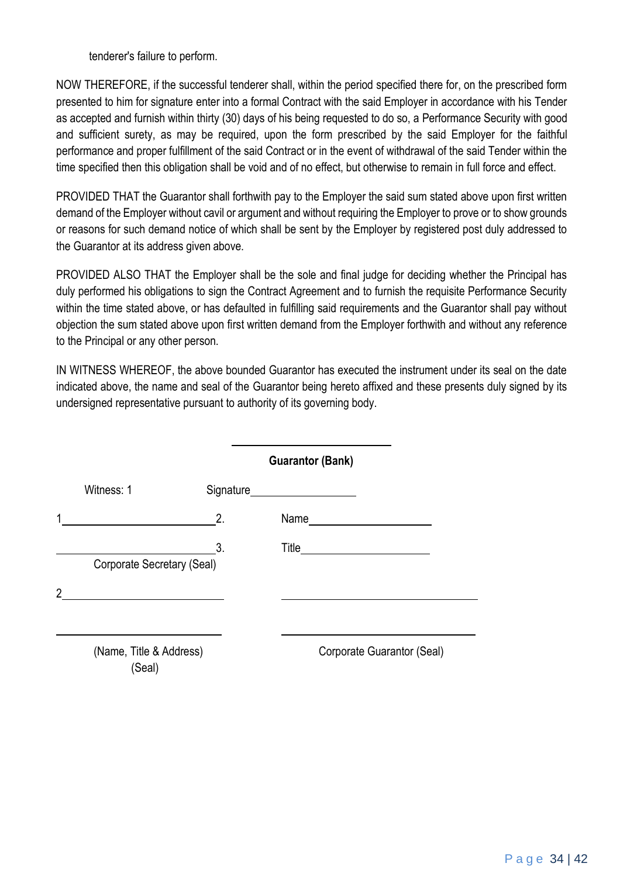tenderer's failure to perform.

NOW THEREFORE, if the successful tenderer shall, within the period specified there for, on the prescribed form presented to him for signature enter into a formal Contract with the said Employer in accordance with his Tender as accepted and furnish within thirty (30) days of his being requested to do so, a Performance Security with good and sufficient surety, as may be required, upon the form prescribed by the said Employer for the faithful performance and proper fulfillment of the said Contract or in the event of withdrawal of the said Tender within the time specified then this obligation shall be void and of no effect, but otherwise to remain in full force and effect.

PROVIDED THAT the Guarantor shall forthwith pay to the Employer the said sum stated above upon first written demand of the Employer without cavil or argument and without requiring the Employer to prove or to show grounds or reasons for such demand notice of which shall be sent by the Employer by registered post duly addressed to the Guarantor at its address given above.

PROVIDED ALSO THAT the Employer shall be the sole and final judge for deciding whether the Principal has duly performed his obligations to sign the Contract Agreement and to furnish the requisite Performance Security within the time stated above, or has defaulted in fulfilling said requirements and the Guarantor shall pay without objection the sum stated above upon first written demand from the Employer forthwith and without any reference to the Principal or any other person.

IN WITNESS WHEREOF, the above bounded Guarantor has executed the instrument under its seal on the date indicated above, the name and seal of the Guarantor being hereto affixed and these presents duly signed by its undersigned representative pursuant to authority of its governing body.

|                            |    | <b>Guarantor (Bank)</b>        |
|----------------------------|----|--------------------------------|
| Witness: 1                 |    | Signature_____________________ |
|                            | 2. | Name                           |
| Corporate Secretary (Seal) | 3. |                                |
|                            |    |                                |
|                            |    |                                |
| (Name, Title & Address)    |    | Corporate Guarantor (Seal)     |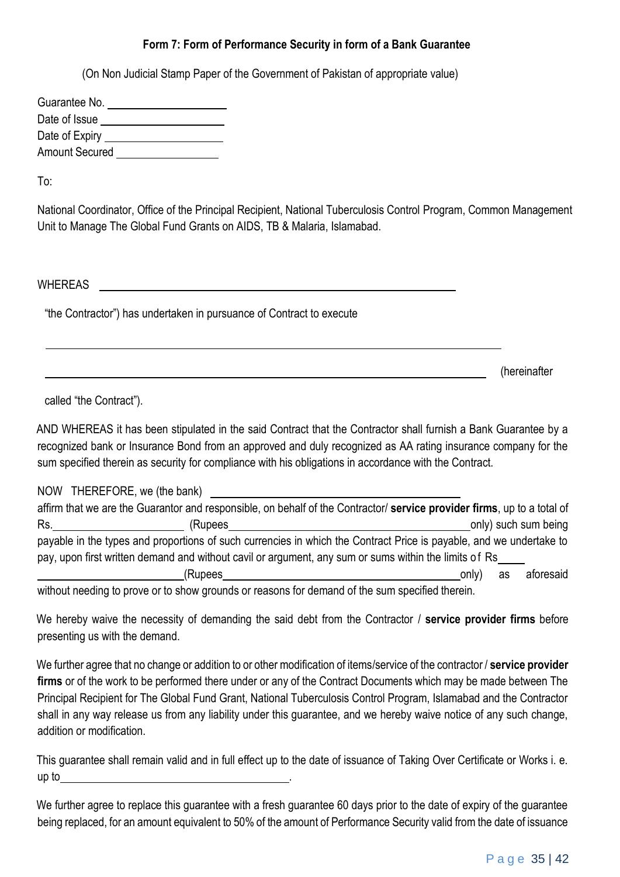### **Form 7: Form of Performance Security in form of a Bank Guarantee**

(On Non Judicial Stamp Paper of the Government of Pakistan of appropriate value)

| Guarantee No.         |  |
|-----------------------|--|
| Date of Issue         |  |
| Date of Expiry        |  |
| <b>Amount Secured</b> |  |

To:

National Coordinator, Office of the Principal Recipient, National Tuberculosis Control Program, Common Management Unit to Manage The Global Fund Grants on AIDS, TB & Malaria, Islamabad.

WHEREAS

"the Contractor") has undertaken in pursuance of Contract to execute

(hereinafter

called "the Contract").

AND WHEREAS it has been stipulated in the said Contract that the Contractor shall furnish a Bank Guarantee by a recognized bank or Insurance Bond from an approved and duly recognized as AA rating insurance company for the sum specified therein as security for compliance with his obligations in accordance with the Contract.

| NOW THEREFORE, we (the bank)                                                                                                                                                                                                            |         |                                    |                         |                      |
|-----------------------------------------------------------------------------------------------------------------------------------------------------------------------------------------------------------------------------------------|---------|------------------------------------|-------------------------|----------------------|
| affirm that we are the Guarantor and responsible, on behalf of the Contractor/ service provider firms, up to a total of                                                                                                                 |         |                                    |                         |                      |
| Rs.                                                                                                                                                                                                                                     | (Rupees |                                    |                         | only) such sum being |
| payable in the types and proportions of such currencies in which the Contract Price is payable, and we undertake to                                                                                                                     |         |                                    |                         |                      |
| pay, upon first written demand and without cavil or argument, any sum or sums within the limits of Rs                                                                                                                                   |         |                                    |                         |                      |
|                                                                                                                                                                                                                                         | (Rupees |                                    | only <sup>)</sup><br>as | aforesaid            |
| $\mathbf{u} = \mathbf{u}$ , and the set of the set of the set of the set of the set of the set of the set of the set of the set of the set of the set of the set of the set of the set of the set of the set of the set of the set of t |         | .<br>$\mathbf{r}$ and $\mathbf{r}$ |                         |                      |

without needing to prove or to show grounds or reasons for demand of the sum specified therein.

We hereby waive the necessity of demanding the said debt from the Contractor / **service provider firms** before presenting us with the demand.

We further agree that no change or addition to or other modification of items/service of the contractor / **service provider firms** or of the work to be performed there under or any of the Contract Documents which may be made between The Principal Recipient for The Global Fund Grant, National Tuberculosis Control Program, Islamabad and the Contractor shall in any way release us from any liability under this guarantee, and we hereby waive notice of any such change, addition or modification.

This guarantee shall remain valid and in full effect up to the date of issuance of Taking Over Certificate or Works i. e. up to .

We further agree to replace this guarantee with a fresh guarantee 60 days prior to the date of expiry of the guarantee being replaced, for an amount equivalent to 50% of the amount of Performance Security valid from the date of issuance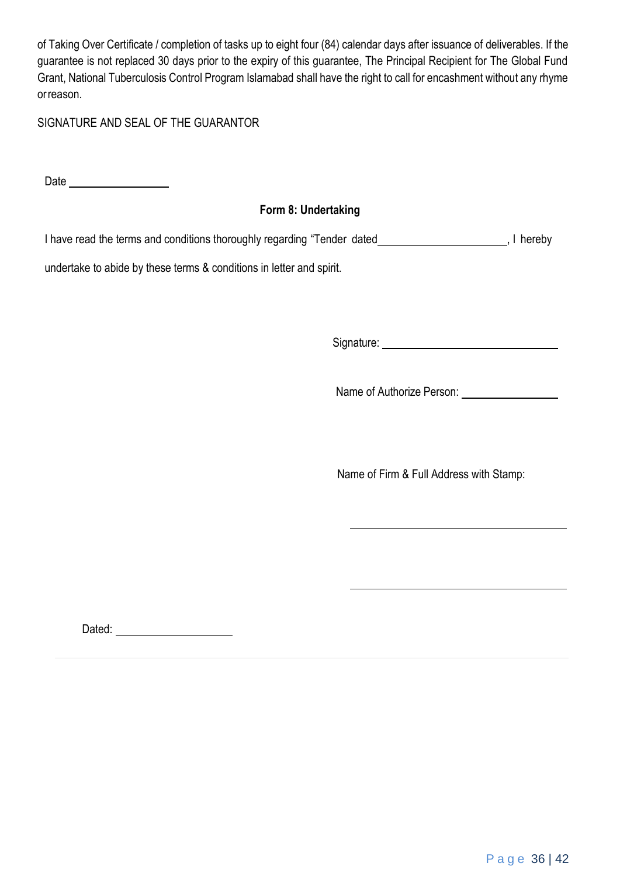of Taking Over Certificate / completion of tasks up to eight four (84) calendar days after issuance of deliverables. If the guarantee is not replaced 30 days prior to the expiry of this guarantee, The Principal Recipient for The Global Fund Grant, National Tuberculosis Control Program Islamabad shall have the right to call for encashment without any rhyme orreason.

SIGNATURE AND SEAL OF THE GUARANTOR

Date

### **Form 8: Undertaking**

I have read the terms and conditions thoroughly regarding "Tender dated \_\_\_\_\_\_\_\_\_\_\_\_\_\_\_\_\_\_\_\_\_\_\_\_\_\_, I hereby

undertake to abide by these terms & conditions in letter and spirit.

Signature:

Name of Authorize Person:

Name of Firm & Full Address with Stamp:

Dated: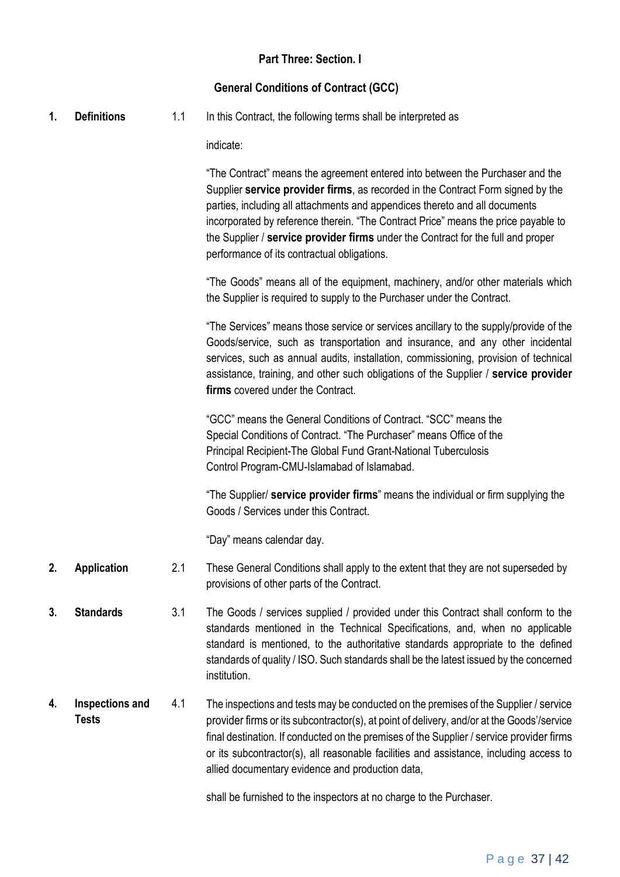### **Part Three: Section. I**

#### **General Conditions of Contract (GCC)**

**1. Definitions** 1.1 In this Contract, the following terms shall be interpreted as

indicate:

"The Contract" means the agreement entered into between the Purchaser and the Supplier **service provider firms**, as recorded in the Contract Form signed by the parties, including all attachments and appendices thereto and all documents incorporated by reference therein. "The Contract Price" means the price payable to the Supplier / **service provider firms** under the Contract for the full and proper performance of its contractual obligations.

"The Goods" means all of the equipment, machinery, and/or other materials which the Supplier is required to supply to the Purchaser under the Contract.

"The Services" means those service or services ancillary to the supply/provide of the Goods/service, such as transportation and insurance, and any other incidental services, such as annual audits, installation, commissioning, provision of technical assistance, training, and other such obligations of the Supplier / **service provider firms** covered under the Contract.

"GCC" means the General Conditions of Contract. "SCC" means the Special Conditions of Contract. "The Purchaser" means Office of the Principal Recipient-The Global Fund Grant-National Tuberculosis Control Program-CMU-Islamabad of Islamabad.

"The Supplier/ **service provider firms**" means the individual or firm supplying the Goods / Services under this Contract.

"Day" means calendar day.

- **2. Application** 2.1 These General Conditions shall apply to the extent that they are not superseded by provisions of other parts of the Contract.
- **3. Standards** 3.1 The Goods / services supplied / provided under this Contract shall conform to the standards mentioned in the Technical Specifications, and, when no applicable standard is mentioned, to the authoritative standards appropriate to the defined standards of quality / ISO. Such standards shall be the latest issued by the concerned institution.
- **4. Inspections and Tests** 4.1 The inspections and tests may be conducted on the premises of the Supplier / service provider firms or its subcontractor(s), at point of delivery, and/or at the Goods'/service final destination. If conducted on the premises of the Supplier / service provider firms or its subcontractor(s), all reasonable facilities and assistance, including access to allied documentary evidence and production data,

shall be furnished to the inspectors at no charge to the Purchaser.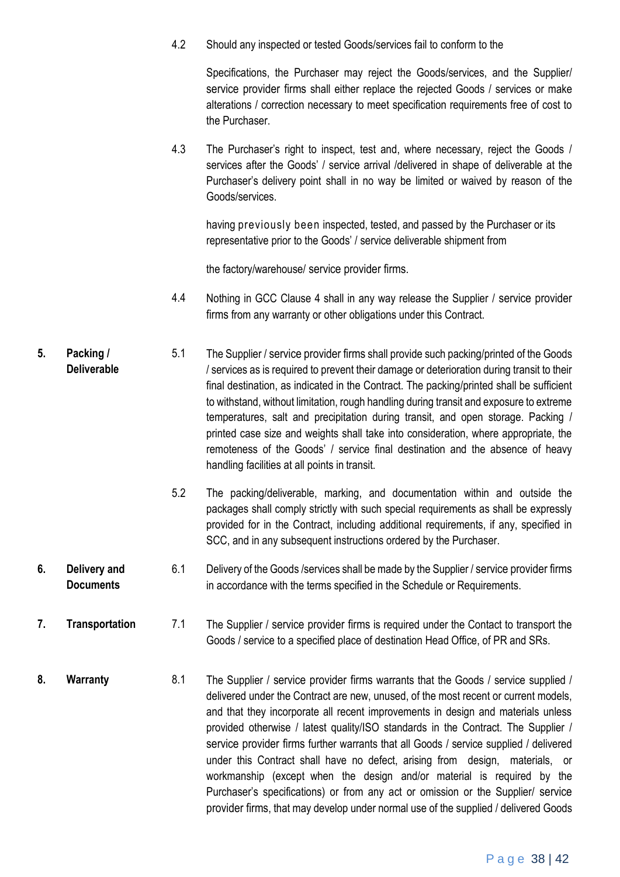4.2 Should any inspected or tested Goods/services fail to conform to the

Specifications, the Purchaser may reject the Goods/services, and the Supplier/ service provider firms shall either replace the rejected Goods / services or make alterations / correction necessary to meet specification requirements free of cost to the Purchaser.

4.3 The Purchaser's right to inspect, test and, where necessary, reject the Goods / services after the Goods' / service arrival /delivered in shape of deliverable at the Purchaser's delivery point shall in no way be limited or waived by reason of the Goods/services.

having previously been inspected, tested, and passed by the Purchaser or its representative prior to the Goods' / service deliverable shipment from

the factory/warehouse/ service provider firms.

- 4.4 Nothing in GCC Clause 4 shall in any way release the Supplier / service provider firms from any warranty or other obligations under this Contract.
- **5. Packing / Deliverable** 5.1 The Supplier / service provider firms shall provide such packing/printed of the Goods / services as is required to prevent their damage or deterioration during transit to their final destination, as indicated in the Contract. The packing/printed shall be sufficient to withstand, without limitation, rough handling during transit and exposure to extreme temperatures, salt and precipitation during transit, and open storage. Packing / printed case size and weights shall take into consideration, where appropriate, the remoteness of the Goods' / service final destination and the absence of heavy handling facilities at all points in transit.
	- 5.2 The packing/deliverable, marking, and documentation within and outside the packages shall comply strictly with such special requirements as shall be expressly provided for in the Contract, including additional requirements, if any, specified in SCC, and in any subsequent instructions ordered by the Purchaser.
- **6. Delivery and Documents** 6.1 Delivery of the Goods /services shall be made by the Supplier / service provider firms in accordance with the terms specified in the Schedule or Requirements.
- **7. Transportation** 7.1 The Supplier / service provider firms is required under the Contact to transport the Goods / service to a specified place of destination Head Office, of PR and SRs.
- **8. Warranty** 8.1 The Supplier / service provider firms warrants that the Goods / service supplied / delivered under the Contract are new, unused, of the most recent or current models, and that they incorporate all recent improvements in design and materials unless provided otherwise / latest quality/ISO standards in the Contract. The Supplier / service provider firms further warrants that all Goods / service supplied / delivered under this Contract shall have no defect, arising from design, materials, or workmanship (except when the design and/or material is required by the Purchaser's specifications) or from any act or omission or the Supplier/ service provider firms, that may develop under normal use of the supplied / delivered Goods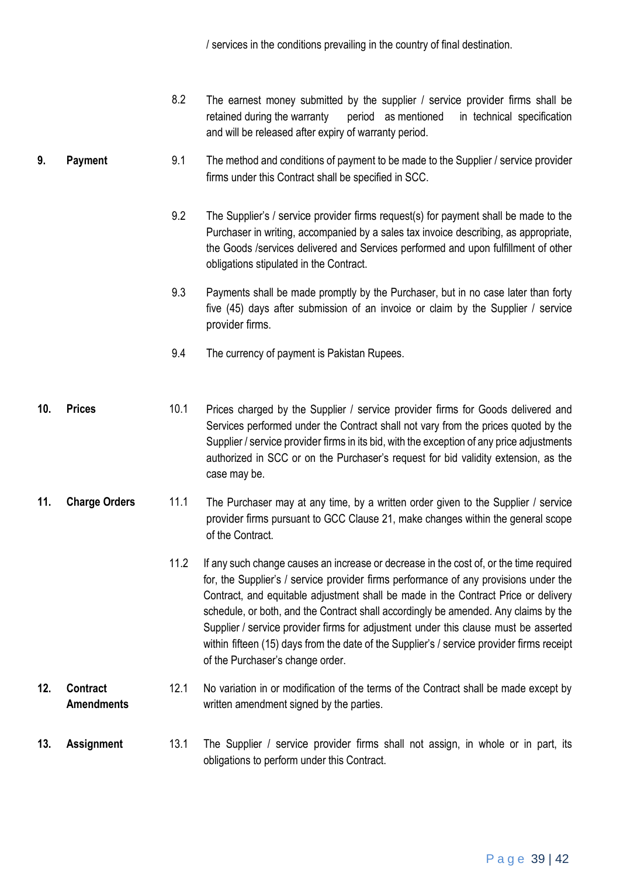/ services in the conditions prevailing in the country of final destination.

- 8.2 The earnest money submitted by the supplier / service provider firms shall be retained during the warranty period as mentioned in technical specification and will be released after expiry of warranty period.
- **9. Payment** 9.1 The method and conditions of payment to be made to the Supplier / service provider firms under this Contract shall be specified in SCC.
	- 9.2 The Supplier's / service provider firms request(s) for payment shall be made to the Purchaser in writing, accompanied by a sales tax invoice describing, as appropriate, the Goods /services delivered and Services performed and upon fulfillment of other obligations stipulated in the Contract.
	- 9.3 Payments shall be made promptly by the Purchaser, but in no case later than forty five (45) days after submission of an invoice or claim by the Supplier / service provider firms.
	- 9.4 The currency of payment is Pakistan Rupees.
- **10. Prices** 10.1 Prices charged by the Supplier / service provider firms for Goods delivered and Services performed under the Contract shall not vary from the prices quoted by the Supplier / service provider firms in its bid, with the exception of any price adjustments authorized in SCC or on the Purchaser's request for bid validity extension, as the case may be.
- **11. Charge Orders** 11.1 The Purchaser may at any time, by a written order given to the Supplier / service provider firms pursuant to GCC Clause 21, make changes within the general scope of the Contract.
	- 11.2 If any such change causes an increase or decrease in the cost of, or the time required for, the Supplier's / service provider firms performance of any provisions under the Contract, and equitable adjustment shall be made in the Contract Price or delivery schedule, or both, and the Contract shall accordingly be amended. Any claims by the Supplier / service provider firms for adjustment under this clause must be asserted within fifteen (15) days from the date of the Supplier's / service provider firms receipt of the Purchaser's change order.

#### **12. Contract Amendments** 12.1 No variation in or modification of the terms of the Contract shall be made except by written amendment signed by the parties.

**13. Assignment** 13.1 The Supplier / service provider firms shall not assign, in whole or in part, its obligations to perform under this Contract.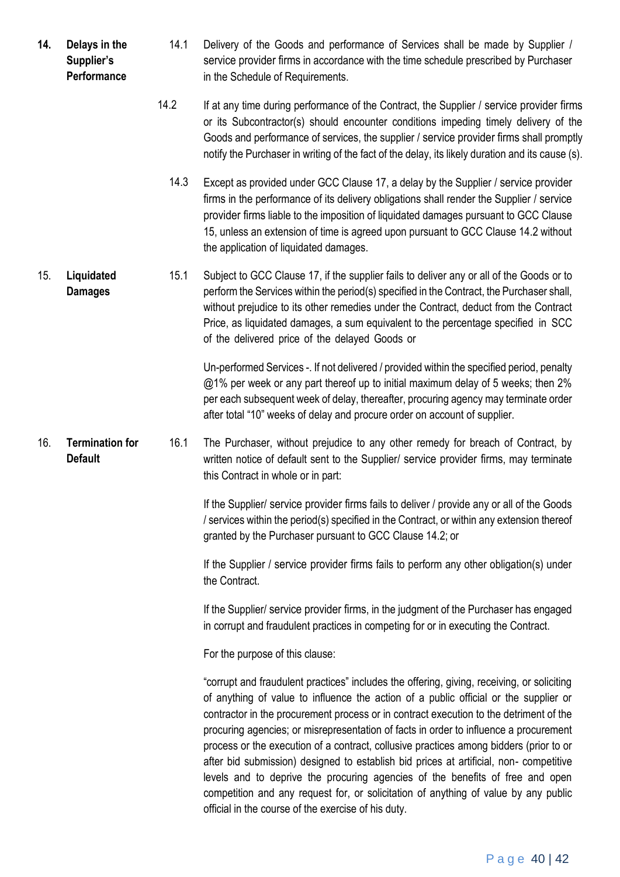- **14. Delays in the Supplier's Performance** 14.1 Delivery of the Goods and performance of Services shall be made by Supplier / service provider firms in accordance with the time schedule prescribed by Purchaser in the Schedule of Requirements.
	- 14.2 If at any time during performance of the Contract, the Supplier / service provider firms or its Subcontractor(s) should encounter conditions impeding timely delivery of the Goods and performance of services, the supplier / service provider firms shall promptly notify the Purchaser in writing of the fact of the delay, its likely duration and its cause (s).
		- 14.3 Except as provided under GCC Clause 17, a delay by the Supplier / service provider firms in the performance of its delivery obligations shall render the Supplier / service provider firms liable to the imposition of liquidated damages pursuant to GCC Clause 15, unless an extension of time is agreed upon pursuant to GCC Clause 14.2 without the application of liquidated damages.
- 15. **Liquidated Damages** 15.1 Subject to GCC Clause 17, if the supplier fails to deliver any or all of the Goods or to perform the Services within the period(s) specified in the Contract, the Purchaser shall, without prejudice to its other remedies under the Contract, deduct from the Contract Price, as liquidated damages, a sum equivalent to the percentage specified in SCC of the delivered price of the delayed Goods or

Un-performed Services -. If not delivered / provided within the specified period, penalty @1% per week or any part thereof up to initial maximum delay of 5 weeks; then 2% per each subsequent week of delay, thereafter, procuring agency may terminate order after total "10" weeks of delay and procure order on account of supplier.

16. **Termination for Default** 16.1 The Purchaser, without prejudice to any other remedy for breach of Contract, by written notice of default sent to the Supplier/ service provider firms, may terminate this Contract in whole or in part:

> If the Supplier/ service provider firms fails to deliver / provide any or all of the Goods / services within the period(s) specified in the Contract, or within any extension thereof granted by the Purchaser pursuant to GCC Clause 14.2; or

> If the Supplier / service provider firms fails to perform any other obligation(s) under the Contract.

> If the Supplier/ service provider firms, in the judgment of the Purchaser has engaged in corrupt and fraudulent practices in competing for or in executing the Contract.

For the purpose of this clause:

"corrupt and fraudulent practices" includes the offering, giving, receiving, or soliciting of anything of value to influence the action of a public official or the supplier or contractor in the procurement process or in contract execution to the detriment of the procuring agencies; or misrepresentation of facts in order to influence a procurement process or the execution of a contract, collusive practices among bidders (prior to or after bid submission) designed to establish bid prices at artificial, non- competitive levels and to deprive the procuring agencies of the benefits of free and open competition and any request for, or solicitation of anything of value by any public official in the course of the exercise of his duty.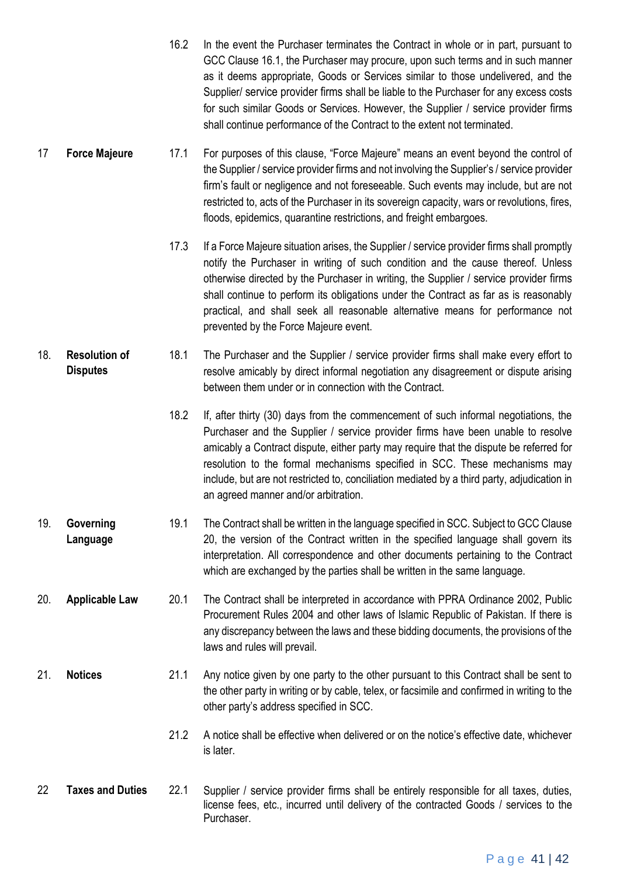- 16.2 In the event the Purchaser terminates the Contract in whole or in part, pursuant to GCC Clause 16.1, the Purchaser may procure, upon such terms and in such manner as it deems appropriate, Goods or Services similar to those undelivered, and the Supplier/ service provider firms shall be liable to the Purchaser for any excess costs for such similar Goods or Services. However, the Supplier / service provider firms shall continue performance of the Contract to the extent not terminated.
- 17 **Force Majeure** 17.1 For purposes of this clause, "Force Majeure" means an event beyond the control of the Supplier / service provider firms and not involving the Supplier's / service provider firm's fault or negligence and not foreseeable. Such events may include, but are not restricted to, acts of the Purchaser in its sovereign capacity, wars or revolutions, fires, floods, epidemics, quarantine restrictions, and freight embargoes.
	- 17.3 If a Force Majeure situation arises, the Supplier / service provider firms shall promptly notify the Purchaser in writing of such condition and the cause thereof. Unless otherwise directed by the Purchaser in writing, the Supplier / service provider firms shall continue to perform its obligations under the Contract as far as is reasonably practical, and shall seek all reasonable alternative means for performance not prevented by the Force Majeure event.
- 18. **Resolution of Disputes** 18.1 The Purchaser and the Supplier / service provider firms shall make every effort to resolve amicably by direct informal negotiation any disagreement or dispute arising between them under or in connection with the Contract.
	- 18.2 If, after thirty (30) days from the commencement of such informal negotiations, the Purchaser and the Supplier / service provider firms have been unable to resolve amicably a Contract dispute, either party may require that the dispute be referred for resolution to the formal mechanisms specified in SCC. These mechanisms may include, but are not restricted to, conciliation mediated by a third party, adjudication in an agreed manner and/or arbitration.
- 19. **Governing Language** 19.1 The Contract shall be written in the language specified in SCC. Subject to GCC Clause 20, the version of the Contract written in the specified language shall govern its interpretation. All correspondence and other documents pertaining to the Contract which are exchanged by the parties shall be written in the same language.
- 20. **Applicable Law** 20.1 The Contract shall be interpreted in accordance with PPRA Ordinance 2002, Public Procurement Rules 2004 and other laws of Islamic Republic of Pakistan. If there is any discrepancy between the laws and these bidding documents, the provisions of the laws and rules will prevail.
- 21. **Notices** 21.1 Any notice given by one party to the other pursuant to this Contract shall be sent to the other party in writing or by cable, telex, or facsimile and confirmed in writing to the other party's address specified in SCC.
	- 21.2 A notice shall be effective when delivered or on the notice's effective date, whichever is later.
- 22 **Taxes and Duties** 22.1 Supplier / service provider firms shall be entirely responsible for all taxes, duties, license fees, etc., incurred until delivery of the contracted Goods / services to the Purchaser.